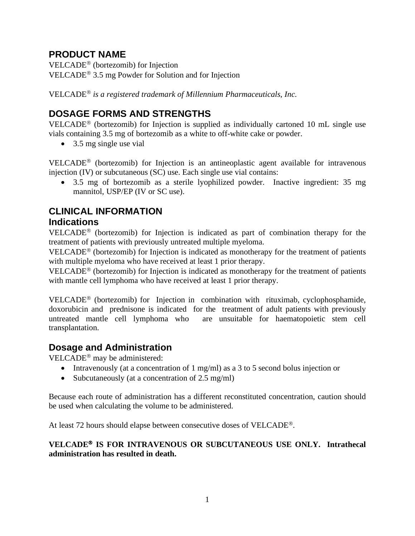# **PRODUCT NAME**

VELCADE<sup>®</sup> (bortezomib) for Injection VELCADE<sup> $<sup>®</sup>$  3.5 mg Powder for Solution and for Injection</sup></sup>

VELCADE *is a registered trademark of Millennium Pharmaceuticals, Inc.*

# **DOSAGE FORMS AND STRENGTHS**

VELCADE<sup>®</sup> (bortezomib) for Injection is supplied as individually cartoned 10 mL single use vials containing 3.5 mg of bortezomib as a white to off-white cake or powder.

• 3.5 mg single use vial

 $VELCADE<sup>®</sup>$  (bortezomib) for Injection is an antineoplastic agent available for intravenous injection (IV) or subcutaneous (SC) use. Each single use vial contains:

• 3.5 mg of bortezomib as a sterile lyophilized powder. Inactive ingredient: 35 mg mannitol, USP/EP (IV or SC use).

## **CLINICAL INFORMATION Indications**

VELCADE<sup>®</sup> (bortezomib) for Injection is indicated as part of combination therapy for the treatment of patients with previously untreated multiple myeloma.

VELCADE<sup>®</sup> (bortezomib) for Injection is indicated as monotherapy for the treatment of patients with multiple myeloma who have received at least 1 prior therapy.

VELCADE<sup>®</sup> (bortezomib) for Injection is indicated as monotherapy for the treatment of patients with mantle cell lymphoma who have received at least 1 prior therapy.

VELCADE<sup>®</sup> (bortezomib) for Injection in combination with rituximab, cyclophosphamide, doxorubicin and prednisone is indicated for the treatment of adult patients with previously untreated mantle cell lymphoma who are unsuitable for haematopoietic stem cell transplantation.

# **Dosage and Administration**

VELCADE<sup>®</sup> may be administered:

- Intravenously (at a concentration of 1 mg/ml) as a 3 to 5 second bolus injection or
- Subcutaneously (at a concentration of 2.5 mg/ml)

Because each route of administration has a different reconstituted concentration, caution should be used when calculating the volume to be administered.

At least 72 hours should elapse between consecutive doses of VELCADE®.

## **VELCADE<sup>®</sup> IS FOR INTRAVENOUS OR SUBCUTANEOUS USE ONLY. Intrathecal administration has resulted in death.**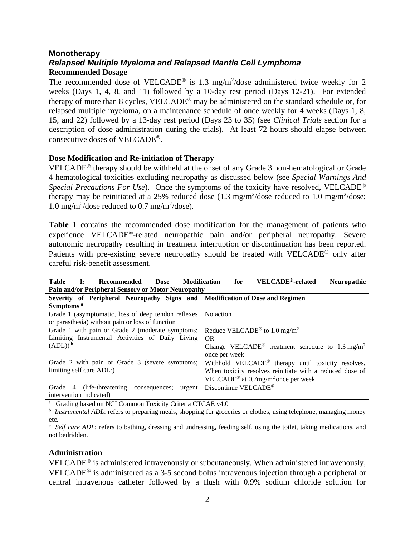## **Monotherapy** *Relapsed Multiple Myeloma and Relapsed Mantle Cell Lymphoma* **Recommended Dosage**

The recommended dose of VELCADE<sup>®</sup> is 1.3 mg/m<sup>2</sup>/dose administered twice weekly for 2 weeks (Days 1, 4, 8, and 11) followed by a 10-day rest period (Days 12-21). For extended therapy of more than 8 cycles, VELCADE<sup>®</sup> may be administered on the standard schedule or, for relapsed multiple myeloma, on a maintenance schedule of once weekly for 4 weeks (Days 1, 8, 15, and 22) followed by a 13-day rest period (Days 23 to 35) (see *Clinical Trials* section for a description of dose administration during the trials). At least 72 hours should elapse between consecutive doses of VELCADE.

## **Dose Modification and Re-initiation of Therapy**

VELCADE<sup>®</sup> therapy should be withheld at the onset of any Grade  $3$  non-hematological or Grade 4 hematological toxicities excluding neuropathy as discussed below (see *Special Warnings And Special Precautions For Use*). Once the symptoms of the toxicity have resolved, VELCADE<sup>®</sup> therapy may be reinitiated at a 25% reduced dose  $(1.3 \text{ mg/m}^2/\text{dose} \cdot \text{reduced to } 1.0 \text{ mg/m}^2/\text{dose};$ 1.0 mg/m<sup>2</sup>/dose reduced to 0.7 mg/m<sup>2</sup>/dose).

**Table 1** contains the recommended dose modification for the management of patients who experience VELCADE<sup>®</sup>-related neuropathic pain and/or peripheral neuropathy. Severe autonomic neuropathy resulting in treatment interruption or discontinuation has been reported. Patients with pre-existing severe neuropathy should be treated with  $VELCADE^{\circledR}$  only after careful risk-benefit assessment.

| Pain and/or Peripheral Sensory or Motor Neuropathy                                                     |                                                                         |  |  |  |  |
|--------------------------------------------------------------------------------------------------------|-------------------------------------------------------------------------|--|--|--|--|
| Severity of Peripheral Neuropathy Signs and Modification of Dose and Regimen                           |                                                                         |  |  |  |  |
| Symptoms <sup>a</sup>                                                                                  |                                                                         |  |  |  |  |
| Grade 1 (asymptomatic, loss of deep tendon reflexes No action                                          |                                                                         |  |  |  |  |
| or parasthesia) without pain or loss of function                                                       |                                                                         |  |  |  |  |
| Grade 1 with pain or Grade 2 (moderate symptoms;                                                       | Reduce VELCADE <sup>®</sup> to 1.0 mg/m <sup>2</sup>                    |  |  |  |  |
| Limiting Instrumental Activities of Daily Living                                                       | OR.                                                                     |  |  |  |  |
| $(ADL))^b$                                                                                             | Change VELCADE <sup>®</sup> treatment schedule to 1.3 mg/m <sup>2</sup> |  |  |  |  |
|                                                                                                        | once per week                                                           |  |  |  |  |
| Grade 2 with pain or Grade 3 (severe symptoms;                                                         | Withhold VELCADE® therapy until toxicity resolves.                      |  |  |  |  |
| limiting self care $ADL^c$ )                                                                           | When toxicity resolves reinitiate with a reduced dose of                |  |  |  |  |
|                                                                                                        | VELCADE <sup>®</sup> at 0.7mg/m <sup>2</sup> once per week.             |  |  |  |  |
| consequences; urgent Discontinue VELCADE <sup>®</sup><br>(life-threatening)<br>Grade<br>$\overline{4}$ |                                                                         |  |  |  |  |
| intervention indicated)                                                                                |                                                                         |  |  |  |  |

**Table 1: Recommended Dose Modification for VELCADE-related Neuropathic Pain and/or Peripheral Sensory or Motor Neuropathy**

<sup>a</sup> Grading based on NCI Common Toxicity Criteria CTCAE v4.0

<sup>b</sup> Instrumental ADL: refers to preparing meals, shopping for groceries or clothes, using telephone, managing money etc.

<sup>c</sup> Self care ADL: refers to bathing, dressing and undressing, feeding self, using the toilet, taking medications, and not bedridden.

### **Administration**

VELCADE<sup>®</sup> is administered intravenously or subcutaneously. When administered intravenously, VELCADE<sup>®</sup> is administered as a 3-5 second bolus intravenous injection through a peripheral or central intravenous catheter followed by a flush with 0.9% sodium chloride solution for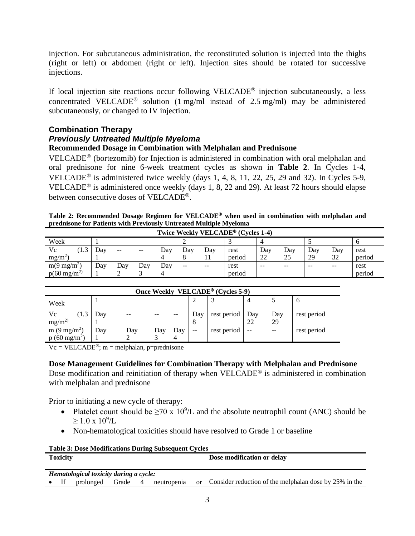injection. For subcutaneous administration, the reconstituted solution is injected into the thighs (right or left) or abdomen (right or left). Injection sites should be rotated for successive injections.

If local injection site reactions occur following VELCADE<sup>®</sup> injection subcutaneously, a less concentrated VELCADE<sup>®</sup> solution (1 mg/ml instead of 2.5 mg/ml) may be administered subcutaneously, or changed to IV injection.

## **Combination Therapy**

## *Previously Untreated Multiple Myeloma*

## **Recommended Dosage in Combination with Melphalan and Prednisone**

VELCADE<sup>®</sup> (bortezomib) for Injection is administered in combination with oral melphalan and oral prednisone for nine 6-week treatment cycles as shown in **Table 2**. In Cycles 1-4, VELCADE<sup>®</sup> is administered twice weekly (days 1, 4, 8, 11, 22, 25, 29 and 32). In Cycles 5-9, VELCADE<sup>®</sup> is administered once weekly (days 1, 8, 22 and 29). At least 72 hours should elapse between consecutive doses of VELCADE<sup>®</sup>.

| Table 2: Recommended Dosage Regimen for VELCADE® when used in combination with melphalan and |  |
|----------------------------------------------------------------------------------------------|--|
| prednisone for Patients with Previously Untreated Multiple Myeloma                           |  |

| Twice Weekly VELCADE <sup>®</sup> (Cycles 1-4) |     |     |       |     |         |       |        |       |       |       |       |        |
|------------------------------------------------|-----|-----|-------|-----|---------|-------|--------|-------|-------|-------|-------|--------|
| Week                                           |     |     |       |     |         |       |        |       |       |       |       |        |
| Vc<br>1.3                                      | Day | --  | $- -$ | Day | Dav     | Dav   | rest   | Day   | Day   | Day   | Dav   | rest   |
| $mg/m^2$                                       |     |     |       |     | $\circ$ |       | period | 22    | 25    | 29    | 32    | period |
| $m(9 \text{ mg/m}^2)$                          | Day | Day | Day   | Day | $- -$   | $- -$ | rest   | $- -$ | $- -$ | $- -$ | $- -$ | rest   |
| $p(60 \text{ mg/m}^2)$                         |     |     |       |     |         |       | period |       |       |       |       | period |

| Once Weekly VELCADE <sup>®</sup> (Cycles 5-9) |     |     |     |     |       |             |                   |       |             |
|-----------------------------------------------|-----|-----|-----|-----|-------|-------------|-------------------|-------|-------------|
| Week                                          |     |     |     |     |       |             |                   |       | $\sigma$    |
| Vc<br>(1.3)                                   | Day |     |     |     | Day   | rest period | Day               | Day   | rest period |
| mg/m <sup>2</sup>                             |     |     |     |     |       |             | 22                | 29    |             |
| m $(9 \text{ mg/m}^2)$                        | Dav | Day | Day | Day | $- -$ | rest period | $\qquad \qquad -$ | $- -$ | rest period |
| $p(60 \text{ mg/m}^2)$                        |     |     |     |     |       |             |                   |       |             |

 $Vc = VELCADE^{\circledast}$ ; m = melphalan, p=prednisone

## **Dose Management Guidelines for Combination Therapy with Melphalan and Prednisone**

Dose modification and reinitiation of therapy when  $VELCADE^{\circledast}$  is administered in combination with melphalan and prednisone

Prior to initiating a new cycle of therapy:

- Platelet count should be  $\geq 70 \times 10^9$ /L and the absolute neutrophil count (ANC) should be  $\geq 1.0 \times 10^9$ /L
- Non-hematological toxicities should have resolved to Grade 1 or baseline

| <b>Table 3: Dose Modifications During Subsequent Cycles</b> |                 |                                        |       |                |             |            |                                                        |
|-------------------------------------------------------------|-----------------|----------------------------------------|-------|----------------|-------------|------------|--------------------------------------------------------|
|                                                             | <b>Toxicity</b> |                                        |       |                |             |            | Dose modification or delay                             |
|                                                             |                 |                                        |       |                |             |            |                                                        |
|                                                             |                 | Hematological toxicity during a cycle: |       |                |             |            |                                                        |
|                                                             | - If            | prolonged                              | Grade | $\overline{4}$ | neutropenia | $\alpha$ r | Consider reduction of the melphalan dose by 25% in the |
|                                                             |                 |                                        |       |                |             |            |                                                        |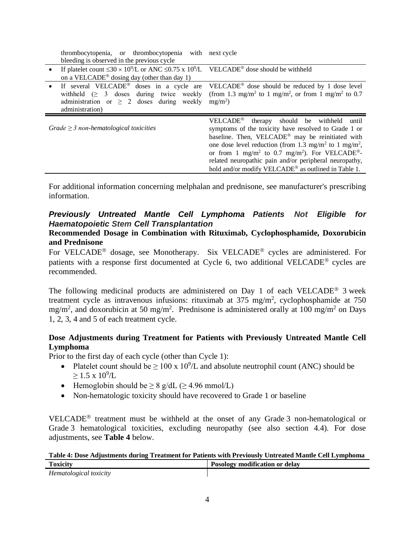| thrombocytopenia, or thrombocytopenia with next cycle                                                                                                                      |                                                                                                                                                                                                                                                                                                                                                                                                                                                             |  |  |
|----------------------------------------------------------------------------------------------------------------------------------------------------------------------------|-------------------------------------------------------------------------------------------------------------------------------------------------------------------------------------------------------------------------------------------------------------------------------------------------------------------------------------------------------------------------------------------------------------------------------------------------------------|--|--|
| bleeding is observed in the previous cycle                                                                                                                                 |                                                                                                                                                                                                                                                                                                                                                                                                                                                             |  |  |
| If platelet count $\leq 30 \times 10^9$ /L or ANC $\leq 0.75 \times 10^9$ /L VELCADE <sup>®</sup> dose should be withheld                                                  |                                                                                                                                                                                                                                                                                                                                                                                                                                                             |  |  |
| on a VELCADE <sup>®</sup> dosing day (other than day 1)                                                                                                                    |                                                                                                                                                                                                                                                                                                                                                                                                                                                             |  |  |
| If several VELCADE <sup>®</sup> doses in a cycle are<br>withheld $( \geq 3$ doses during twice weekly<br>administration or $\geq$ 2 doses during weekly<br>administration) | VELCADE <sup>®</sup> dose should be reduced by 1 dose level<br>(from 1.3 mg/m <sup>2</sup> to 1 mg/m <sup>2</sup> , or from 1 mg/m <sup>2</sup> to 0.7<br>$mg/m^2$ )                                                                                                                                                                                                                                                                                        |  |  |
| $Grade \geq 3$ non-hematological toxicities                                                                                                                                | $VELCADE^{\otimes}$ therapy should be withheld<br>until<br>symptoms of the toxicity have resolved to Grade 1 or<br>baseline. Then, VELCADE® may be reinitiated with<br>one dose level reduction (from 1.3 mg/m <sup>2</sup> to 1 mg/m <sup>2</sup> ,<br>or from 1 mg/m <sup>2</sup> to 0.7 mg/m <sup>2</sup> ). For VELCADE <sup>®</sup> -<br>related neuropathic pain and/or peripheral neuropathy,<br>hold and/or modify VELCADE® as outlined in Table 1. |  |  |

For additional information concerning melphalan and prednisone, see manufacturer's prescribing information.

## *Previously Untreated Mantle Cell Lymphoma Patients Not Eligible for Haematopoietic Stem Cell Transplantation*

### **Recommended Dosage in Combination with Rituximab, Cyclophosphamide, Doxorubicin and Prednisone**

For VELCADE<sup>®</sup> dosage, see Monotherapy. Six VELCADE<sup>®</sup> cycles are administered. For patients with a response first documented at Cycle 6, two additional VELCADE<sup>®</sup> cycles are recommended.

The following medicinal products are administered on Day 1 of each VELCADE<sup>®</sup> 3 week treatment cycle as intravenous infusions: rituximab at  $375 \text{ mg/m}^2$ , cyclophosphamide at  $750$ mg/m<sup>2</sup>, and doxorubicin at 50 mg/m<sup>2</sup>. Prednisone is administered orally at 100 mg/m<sup>2</sup> on Days 1, 2, 3, 4 and 5 of each treatment cycle.

## **Dose Adjustments during Treatment for Patients with Previously Untreated Mantle Cell Lymphoma**

Prior to the first day of each cycle (other than Cycle 1):

- Platelet count should be  $\geq 100 \times 10^9$ /L and absolute neutrophil count (ANC) should be  $\geq$  1.5 x 10<sup>9</sup>/L
- Hemoglobin should be  $\geq 8$  g/dL ( $\geq 4.96$  mmol/L)
- Non-hematologic toxicity should have recovered to Grade 1 or baseline

VELCADE<sup>®</sup> treatment must be withheld at the onset of any Grade 3 non-hematological or Grade 3 hematological toxicities, excluding neuropathy (see also section 4.4). For dose adjustments, see **Table 4** below.

| Table 4: Dose Adjustments during Treatment for Patients with Previously Untreated Mantle Cell Lymphoma |                                |  |  |
|--------------------------------------------------------------------------------------------------------|--------------------------------|--|--|
| <b>Toxicity</b>                                                                                        | Posology modification or delay |  |  |
| Hematological toxicity                                                                                 |                                |  |  |

| Hematological toxicity |
|------------------------|
|------------------------|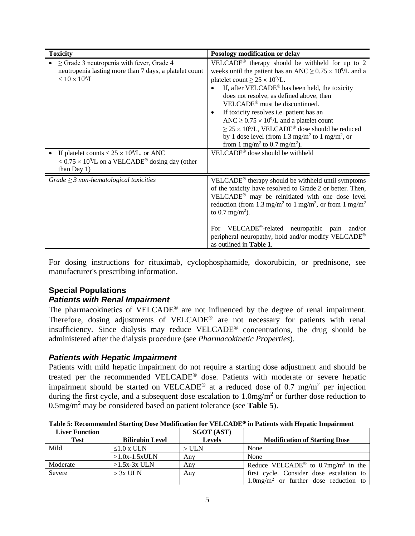| <b>Toxicity</b>                                                                                                                            | Posology modification or delay                                                                                                                                                                                                                                                                                                                                                                                                                                                                                                                                                                                                                                                                     |
|--------------------------------------------------------------------------------------------------------------------------------------------|----------------------------------------------------------------------------------------------------------------------------------------------------------------------------------------------------------------------------------------------------------------------------------------------------------------------------------------------------------------------------------------------------------------------------------------------------------------------------------------------------------------------------------------------------------------------------------------------------------------------------------------------------------------------------------------------------|
| $\geq$ Grade 3 neutropenia with fever, Grade 4<br>neutropenia lasting more than 7 days, a platelet count<br>$< 10 \times 10^9$ /L          | VELCADE <sup>®</sup> therapy should be withheld for up to 2<br>weeks until the patient has an ANC $\geq$ 0.75 $\times$ 10 <sup>9</sup> /L and a<br>platelet count $\geq 25 \times 10^9$ /L.<br>If, after VELCADE <sup>®</sup> has been held, the toxicity<br>does not resolve, as defined above, then<br>VELCADE <sup>®</sup> must be discontinued.<br>If toxicity resolves i.e. patient has an<br>$\bullet$<br>ANC $\geq$ 0.75 $\times$ 10 <sup>9</sup> /L and a platelet count<br>$\geq$ 25 × 10 <sup>9</sup> /L, VELCADE <sup>®</sup> dose should be reduced<br>by 1 dose level (from 1.3 mg/m <sup>2</sup> to 1 mg/m <sup>2</sup> , or<br>from 1 mg/m <sup>2</sup> to 0.7 mg/m <sup>2</sup> ). |
| If platelet counts < $25 \times 10^9$ /L. or ANC<br>$< 0.75 \times 10^{9}$ /L on a VELCADE <sup>®</sup> dosing day (other<br>than Day $1)$ | VELCADE <sup>®</sup> dose should be withheld                                                                                                                                                                                                                                                                                                                                                                                                                                                                                                                                                                                                                                                       |
| Grade $\geq$ 3 non-hematological toxicities                                                                                                | VELCADE® therapy should be withheld until symptoms<br>of the toxicity have resolved to Grade 2 or better. Then,<br>VELCADE <sup>®</sup> may be reinitiated with one dose level<br>reduction (from 1.3 mg/m <sup>2</sup> to 1 mg/m <sup>2</sup> , or from 1 mg/m <sup>2</sup><br>to 0.7 mg/m <sup>2</sup> ).<br>VELCADE <sup>®</sup> -related neuropathic pain<br>and/or<br>For<br>peripheral neuropathy, hold and/or modify VELCADE®<br>as outlined in Table 1.                                                                                                                                                                                                                                    |

For dosing instructions for rituximab, cyclophosphamide, doxorubicin, or prednisone, see manufacturer's prescribing information.

## **Special Populations** *Patients with Renal Impairment*

The pharmacokinetics of VELCADE<sup>®</sup> are not influenced by the degree of renal impairment. Therefore, dosing adjustments of VELCADE<sup>®</sup> are not necessary for patients with renal insufficiency. Since dialysis may reduce VELCADE<sup>®</sup> concentrations, the drug should be administered after the dialysis procedure (see *Pharmacokinetic Properties*).

## *Patients with Hepatic Impairment*

Patients with mild hepatic impairment do not require a starting dose adjustment and should be treated per the recommended VELCADE® dose. Patients with moderate or severe hepatic impairment should be started on VELCADE<sup>®</sup> at a reduced dose of 0.7 mg/m<sup>2</sup> per injection during the first cycle, and a subsequent dose escalation to  $1.0 \text{mg/m}^2$  or further dose reduction to 0.5mg/m<sup>2</sup> may be considered based on patient tolerance (see **Table 5**).

| <b>Liver Function</b> |                        | <b>SGOT (AST)</b> |                                                            |
|-----------------------|------------------------|-------------------|------------------------------------------------------------|
| <b>Test</b>           | <b>Bilirubin Level</b> | <b>Levels</b>     | <b>Modification of Starting Dose</b>                       |
| Mild                  | $\leq 1.0$ x ULN       | $>$ ULN           | None                                                       |
|                       | $>1.0x-1.5xULN$        | Any               | None                                                       |
| Moderate              | $>1.5x-3x$ ULN         | Anv               | Reduce VELCADE <sup>®</sup> to 0.7mg/m <sup>2</sup> in the |
| Severe                | $> 3x$ ULN             | Any               | first cycle. Consider dose escalation to                   |
|                       |                        |                   | $1.0$ mg/m <sup>2</sup> or further dose reduction to       |

**Table 5: Recommended Starting Dose Modification for VELCADE in Patients with Hepatic Impairment**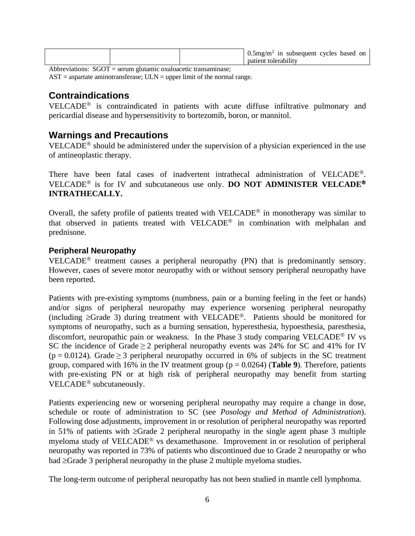|  | $0.5mg/m2$ in subsequent cycles based on |  |
|--|------------------------------------------|--|
|  | natient tolerability                     |  |

Abbreviations: SGOT = serum glutamic oxaloacetic transaminase;

 $AST =$  aspartate aminotransferase;  $ULN =$  upper limit of the normal range.

# **Contraindications**

VELCADE<sup>®</sup> is contraindicated in patients with acute diffuse infiltrative pulmonary and pericardial disease and hypersensitivity to bortezomib, boron, or mannitol.

## **Warnings and Precautions**

VELCADE<sup> $<sup>®</sup>$ </sup> should be administered under the supervision of a physician experienced in the use</sup> of antineoplastic therapy.

There have been fatal cases of inadvertent intrathecal administration of VELCADE<sup>®</sup>. VELCADE<sup>®</sup> is for IV and subcutaneous use only. **DO NOT ADMINISTER VELCADE<sup>®</sup> INTRATHECALLY.**

Overall, the safety profile of patients treated with VELCADE<sup>®</sup> in monotherapy was similar to that observed in patients treated with VELCADE<sup>®</sup> in combination with melphalan and prednisone.

## **Peripheral Neuropathy**

VELCADE<sup>®</sup> treatment causes a peripheral neuropathy  $(PN)$  that is predominantly sensory. However, cases of severe motor neuropathy with or without sensory peripheral neuropathy have been reported.

Patients with pre-existing symptoms (numbness, pain or a burning feeling in the feet or hands) and/or signs of peripheral neuropathy may experience worsening peripheral neuropathy (including  $\geq$ Grade 3) during treatment with VELCADE<sup>®</sup>. Patients should be monitored for symptoms of neuropathy, such as a burning sensation, hyperesthesia, hypoesthesia, paresthesia, discomfort, neuropathic pain or weakness. In the Phase 3 study comparing VELCADE<sup>®</sup> IV vs SC the incidence of Grade  $\geq 2$  peripheral neuropathy events was 24% for SC and 41% for IV  $(p = 0.0124)$ . Grade  $\geq 3$  peripheral neuropathy occurred in 6% of subjects in the SC treatment group, compared with 16% in the IV treatment group (p = 0.0264) (**Table 9**). Therefore, patients with pre-existing PN or at high risk of peripheral neuropathy may benefit from starting VELCADE<sup>®</sup> subcutaneously.

Patients experiencing new or worsening peripheral neuropathy may require a change in dose, schedule or route of administration to SC (see *Posology and Method of Administration*). Following dose adjustments, improvement in or resolution of peripheral neuropathy was reported in 51% of patients with ≥Grade 2 peripheral neuropathy in the single agent phase 3 multiple myeloma study of VELCADE<sup>®</sup> vs dexamethasone. Improvement in or resolution of peripheral neuropathy was reported in 73% of patients who discontinued due to Grade 2 neuropathy or who had ≥Grade 3 peripheral neuropathy in the phase 2 multiple myeloma studies.

The long-term outcome of peripheral neuropathy has not been studied in mantle cell lymphoma.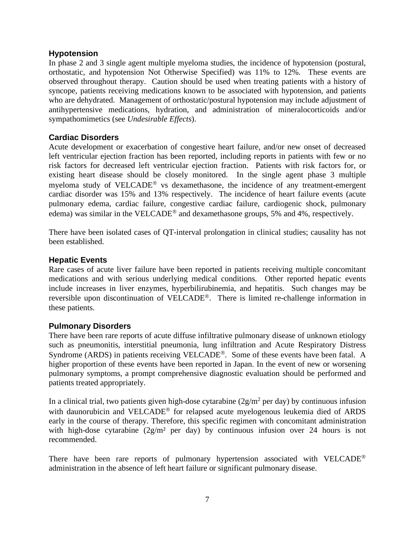## **Hypotension**

In phase 2 and 3 single agent multiple myeloma studies, the incidence of hypotension (postural, orthostatic, and hypotension Not Otherwise Specified) was 11% to 12%. These events are observed throughout therapy. Caution should be used when treating patients with a history of syncope, patients receiving medications known to be associated with hypotension, and patients who are dehydrated. Management of orthostatic/postural hypotension may include adjustment of antihypertensive medications, hydration, and administration of mineralocorticoids and/or sympathomimetics (see *Undesirable Effects*).

## **Cardiac Disorders**

Acute development or exacerbation of congestive heart failure, and/or new onset of decreased left ventricular ejection fraction has been reported, including reports in patients with few or no risk factors for decreased left ventricular ejection fraction. Patients with risk factors for, or existing heart disease should be closely monitored. In the single agent phase 3 multiple myeloma study of  $VELCADE^{\circledast}$  vs dexamethasone, the incidence of any treatment-emergent cardiac disorder was 15% and 13% respectively. The incidence of heart failure events (acute pulmonary edema, cardiac failure, congestive cardiac failure, cardiogenic shock, pulmonary edema) was similar in the VELCADE<sup>®</sup> and dexamethasone groups, 5% and 4%, respectively.

There have been isolated cases of QT-interval prolongation in clinical studies; causality has not been established.

### **Hepatic Events**

Rare cases of acute liver failure have been reported in patients receiving multiple concomitant medications and with serious underlying medical conditions. Other reported hepatic events include increases in liver enzymes, hyperbilirubinemia, and hepatitis. Such changes may be reversible upon discontinuation of VELCADE<sup>®</sup>. There is limited re-challenge information in these patients.

### **Pulmonary Disorders**

There have been rare reports of acute diffuse infiltrative pulmonary disease of unknown etiology such as pneumonitis, interstitial pneumonia, lung infiltration and Acute Respiratory Distress Syndrome (ARDS) in patients receiving VELCADE<sup>®</sup>. Some of these events have been fatal. A higher proportion of these events have been reported in Japan. In the event of new or worsening pulmonary symptoms, a prompt comprehensive diagnostic evaluation should be performed and patients treated appropriately.

In a clinical trial, two patients given high-dose cytarabine  $(2g/m^2$  per day) by continuous infusion with daunorubicin and VELCADE<sup>®</sup> for relapsed acute myelogenous leukemia died of ARDS early in the course of therapy. Therefore, this specific regimen with concomitant administration with high-dose cytarabine (2g/m<sup>2</sup> per day) by continuous infusion over 24 hours is not recommended.

There have been rare reports of pulmonary hypertension associated with VELCADE<sup>®</sup> administration in the absence of left heart failure or significant pulmonary disease.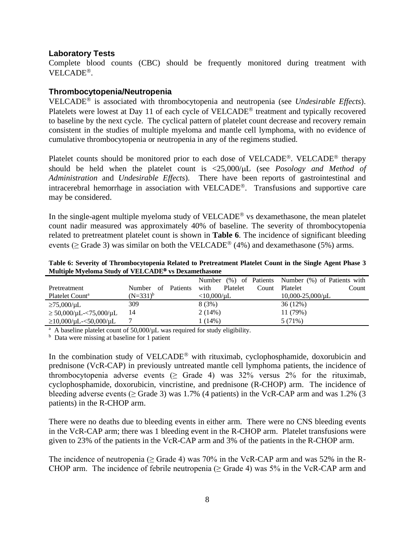### **Laboratory Tests**

Complete blood counts (CBC) should be frequently monitored during treatment with VELCADE<sup>®</sup>.

## **Thrombocytopenia/Neutropenia**

VELCADE is associated with thrombocytopenia and neutropenia (see *Undesirable Effects*). Platelets were lowest at Day 11 of each cycle of  $VELCADE<sup>®</sup>$  treatment and typically recovered to baseline by the next cycle. The cyclical pattern of platelet count decrease and recovery remain consistent in the studies of multiple myeloma and mantle cell lymphoma, with no evidence of cumulative thrombocytopenia or neutropenia in any of the regimens studied.

Platelet counts should be monitored prior to each dose of VELCADE<sup>®</sup>. VELCADE<sup>®</sup> therapy should be held when the platelet count is <25,000/µL (see *Posology and Method of Administration* and *Undesirable Effects*). There have been reports of gastrointestinal and intracerebral hemorrhage in association with VELCADE®. Transfusions and supportive care may be considered.

In the single-agent multiple myeloma study of  $VELCADE^{\circledR}$  vs dexamethasone, the mean platelet count nadir measured was approximately 40% of baseline. The severity of thrombocytopenia related to pretreatment platelet count is shown in **Table 6**. The incidence of significant bleeding events ( $>$  Grade 3) was similar on both the VELCADE<sup>®</sup> (4%) and dexamethasone (5%) arms.

**Table 6: Severity of Thrombocytopenia Related to Pretreatment Platelet Count in the Single Agent Phase 3 Multiple Myeloma Study of VELCADE vs Dexamethasone**

|                                    |                                 |                           | Number (%) of Patients Number (%) of Patients with |
|------------------------------------|---------------------------------|---------------------------|----------------------------------------------------|
| Pretreatment                       | <b>Patients</b><br>Number<br>of | with<br>Platelet<br>Count | Platelet<br>Count                                  |
| Platelet Count <sup>a</sup>        | $(N=331)^b$                     | $<$ 10,000/µL             | $10,000-25,000/\mu L$                              |
| $\geq$ 75,000/µL                   | 309                             | 8(3%)                     | 36(12%)                                            |
| $\geq 50,000/\mu L - 75,000/\mu L$ | 14                              | 2(14%)                    | 11 (79%)                                           |
| $\geq$ 10,000/µL-<50,000/µL        |                                 | 1 (14%)                   | 5 (71%)                                            |

<sup>a</sup> A baseline platelet count of 50,000/µL was required for study eligibility.

<sup>b</sup> Data were missing at baseline for 1 patient

In the combination study of VELCADE<sup>®</sup> with rituximab, cyclophosphamide, doxorubicin and prednisone (VcR-CAP) in previously untreated mantle cell lymphoma patients, the incidence of thrombocytopenia adverse events  $(≥$  Grade 4) was 32% versus 2% for the rituximab, cyclophosphamide, doxorubicin, vincristine, and prednisone (R-CHOP) arm. The incidence of bleeding adverse events ( $\geq$  Grade 3) was 1.7% (4 patients) in the VcR-CAP arm and was 1.2% (3 patients) in the R-CHOP arm.

There were no deaths due to bleeding events in either arm. There were no CNS bleeding events in the VcR-CAP arm; there was 1 bleeding event in the R-CHOP arm. Platelet transfusions were given to 23% of the patients in the VcR-CAP arm and 3% of the patients in the R-CHOP arm.

The incidence of neutropenia ( $\geq$  Grade 4) was 70% in the VcR-CAP arm and was 52% in the R-CHOP arm. The incidence of febrile neutropenia ( $\geq$  Grade 4) was 5% in the VcR-CAP arm and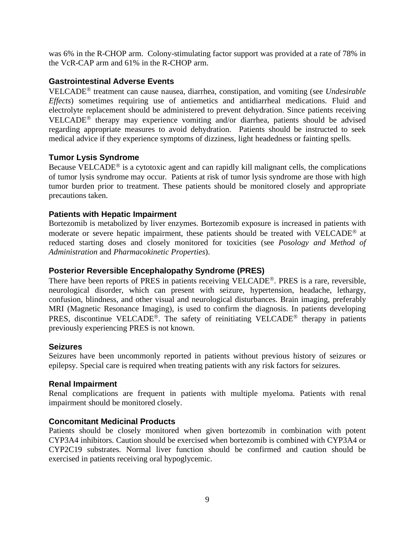was 6% in the R-CHOP arm. Colony-stimulating factor support was provided at a rate of 78% in the VcR-CAP arm and 61% in the R-CHOP arm.

## **Gastrointestinal Adverse Events**

VELCADE<sup>®</sup> treatment can cause nausea, diarrhea, constipation, and vomiting (see *Undesirable Effects*) sometimes requiring use of antiemetics and antidiarrheal medications. Fluid and electrolyte replacement should be administered to prevent dehydration. Since patients receiving VELCADE<sup>®</sup> therapy may experience vomiting and/or diarrhea, patients should be advised regarding appropriate measures to avoid dehydration. Patients should be instructed to seek medical advice if they experience symptoms of dizziness, light headedness or fainting spells.

## **Tumor Lysis Syndrome**

Because VELCADE<sup>®</sup> is a cytotoxic agent and can rapidly kill malignant cells, the complications of tumor lysis syndrome may occur. Patients at risk of tumor lysis syndrome are those with high tumor burden prior to treatment. These patients should be monitored closely and appropriate precautions taken.

## **Patients with Hepatic Impairment**

Bortezomib is metabolized by liver enzymes. Bortezomib exposure is increased in patients with moderate or severe hepatic impairment, these patients should be treated with VELCADE<sup>®</sup> at reduced starting doses and closely monitored for toxicities (see *Posology and Method of Administration* and *Pharmacokinetic Properties*).

## **Posterior Reversible Encephalopathy Syndrome (PRES)**

There have been reports of PRES in patients receiving VELCADE<sup>®</sup>. PRES is a rare, reversible, neurological disorder, which can present with seizure, hypertension, headache, lethargy, confusion, blindness, and other visual and neurological disturbances. Brain imaging, preferably MRI (Magnetic Resonance Imaging), is used to confirm the diagnosis. In patients developing PRES, discontinue VELCADE<sup>®</sup>. The safety of reinitiating VELCADE<sup>®</sup> therapy in patients previously experiencing PRES is not known.

### **Seizures**

Seizures have been uncommonly reported in patients without previous history of seizures or epilepsy. Special care is required when treating patients with any risk factors for seizures.

### **Renal Impairment**

Renal complications are frequent in patients with multiple myeloma. Patients with renal impairment should be monitored closely.

### **Concomitant Medicinal Products**

Patients should be closely monitored when given bortezomib in combination with potent CYP3A4 inhibitors. Caution should be exercised when bortezomib is combined with CYP3A4 or CYP2C19 substrates. Normal liver function should be confirmed and caution should be exercised in patients receiving oral hypoglycemic.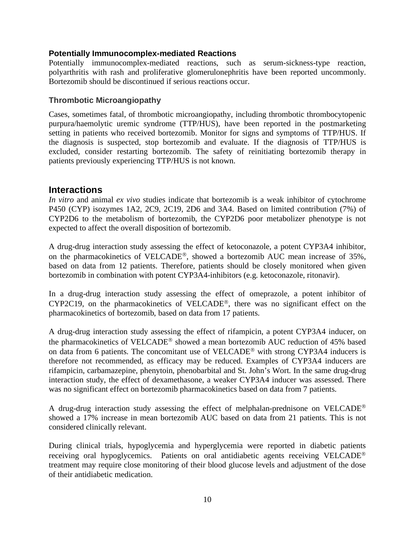## **Potentially Immunocomplex-mediated Reactions**

Potentially immunocomplex-mediated reactions, such as serum-sickness-type reaction, polyarthritis with rash and proliferative glomerulonephritis have been reported uncommonly. Bortezomib should be discontinued if serious reactions occur.

## **Thrombotic Microangiopathy**

Cases, sometimes fatal, of thrombotic microangiopathy, including thrombotic thrombocytopenic purpura/haemolytic uremic syndrome (TTP/HUS), have been reported in the postmarketing setting in patients who received bortezomib. Monitor for signs and symptoms of TTP/HUS. If the diagnosis is suspected, stop bortezomib and evaluate. If the diagnosis of TTP/HUS is excluded, consider restarting bortezomib. The safety of reinitiating bortezomib therapy in patients previously experiencing TTP/HUS is not known.

## **Interactions**

*In vitro* and animal *ex vivo* studies indicate that bortezomib is a weak inhibitor of cytochrome P450 (CYP) isozymes 1A2, 2C9, 2C19, 2D6 and 3A4. Based on limited contribution (7%) of CYP2D6 to the metabolism of bortezomib, the CYP2D6 poor metabolizer phenotype is not expected to affect the overall disposition of bortezomib.

A drug-drug interaction study assessing the effect of ketoconazole, a potent CYP3A4 inhibitor, on the pharmacokinetics of VELCADE®, showed a bortezomib AUC mean increase of 35%, based on data from 12 patients. Therefore, patients should be closely monitored when given bortezomib in combination with potent CYP3A4-inhibitors (e.g. ketoconazole, ritonavir).

In a drug-drug interaction study assessing the effect of omeprazole, a potent inhibitor of CYP2C19, on the pharmacokinetics of VELCADE®, there was no significant effect on the pharmacokinetics of bortezomib, based on data from 17 patients.

A drug-drug interaction study assessing the effect of rifampicin, a potent CYP3A4 inducer, on the pharmacokinetics of VELCADE® showed a mean bortezomib AUC reduction of 45% based on data from 6 patients. The concomitant use of VELCADE<sup>®</sup> with strong CYP3A4 inducers is therefore not recommended, as efficacy may be reduced. Examples of CYP3A4 inducers are rifampicin, carbamazepine, phenytoin, phenobarbital and St. John's Wort. In the same drug-drug interaction study, the effect of dexamethasone, a weaker CYP3A4 inducer was assessed. There was no significant effect on bortezomib pharmacokinetics based on data from 7 patients.

A drug-drug interaction study assessing the effect of melphalan-prednisone on VELCADE<sup>®</sup> showed a 17% increase in mean bortezomib AUC based on data from 21 patients. This is not considered clinically relevant.

During clinical trials, hypoglycemia and hyperglycemia were reported in diabetic patients receiving oral hypoglycemics. Patients on oral antidiabetic agents receiving VELCADE<sup>®</sup> treatment may require close monitoring of their blood glucose levels and adjustment of the dose of their antidiabetic medication.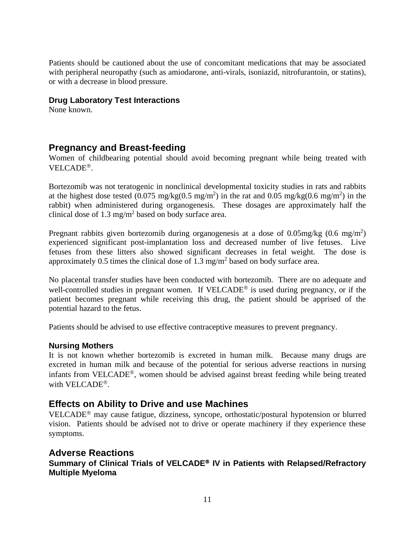Patients should be cautioned about the use of concomitant medications that may be associated with peripheral neuropathy (such as amiodarone, anti-virals, isoniazid, nitrofurantoin, or statins), or with a decrease in blood pressure.

## **Drug Laboratory Test Interactions**

None known.

## **Pregnancy and Breast-feeding**

Women of childbearing potential should avoid becoming pregnant while being treated with VELCADE<sup>®</sup>.

Bortezomib was not teratogenic in nonclinical developmental toxicity studies in rats and rabbits at the highest dose tested (0.075 mg/kg(0.5 mg/m<sup>2</sup>) in the rat and 0.05 mg/kg(0.6 mg/m<sup>2</sup>) in the rabbit) when administered during organogenesis. These dosages are approximately half the clinical dose of  $1.3 \text{ mg/m}^2$  based on body surface area.

Pregnant rabbits given bortezomib during organogenesis at a dose of  $0.05 \text{mg/kg}$  (0.6 mg/m<sup>2</sup>) experienced significant post-implantation loss and decreased number of live fetuses. Live fetuses from these litters also showed significant decreases in fetal weight. The dose is approximately 0.5 times the clinical dose of 1.3 mg/m<sup>2</sup> based on body surface area.

No placental transfer studies have been conducted with bortezomib. There are no adequate and well-controlled studies in pregnant women. If  $VELCADE^{\circledast}$  is used during pregnancy, or if the patient becomes pregnant while receiving this drug, the patient should be apprised of the potential hazard to the fetus.

Patients should be advised to use effective contraceptive measures to prevent pregnancy.

## **Nursing Mothers**

It is not known whether bortezomib is excreted in human milk. Because many drugs are excreted in human milk and because of the potential for serious adverse reactions in nursing infants from VELCADE<sup>®</sup>, women should be advised against breast feeding while being treated with VELCADE<sup>®</sup>.

## **Effects on Ability to Drive and use Machines**

VELCADE<sup>®</sup> may cause fatigue, dizziness, syncope, orthostatic/postural hypotension or blurred vision. Patients should be advised not to drive or operate machinery if they experience these symptoms.

## **Adverse Reactions**

**Summary of Clinical Trials of VELCADE IV in Patients with Relapsed/Refractory Multiple Myeloma**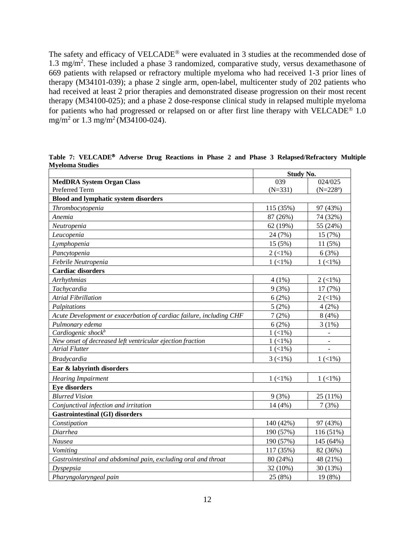The safety and efficacy of VELCADE<sup>®</sup> were evaluated in 3 studies at the recommended dose of 1.3 mg/m<sup>2</sup>. These included a phase 3 randomized, comparative study, versus dexamethasone of 669 patients with relapsed or refractory multiple myeloma who had received 1-3 prior lines of therapy (M34101-039); a phase 2 single arm, open-label, multicenter study of 202 patients who had received at least 2 prior therapies and demonstrated disease progression on their most recent therapy (M34100-025); and a phase 2 dose-response clinical study in relapsed multiple myeloma for patients who had progressed or relapsed on or after first line therapy with VELCADE<sup>®</sup> 1.0 mg/m<sup>2</sup> or 1.3 mg/m<sup>2</sup> (M34100-024).

|                                                                     | <b>Study No.</b>               |             |
|---------------------------------------------------------------------|--------------------------------|-------------|
| <b>MedDRA System Organ Class</b>                                    | 039                            | 024/025     |
| Preferred Term                                                      | $(N=331)$                      | $(N=228^a)$ |
| <b>Blood and lymphatic system disorders</b>                         |                                |             |
| Thrombocytopenia                                                    | 115 (35%)                      | 97 (43%)    |
| Anemia                                                              | 87 (26%)                       | 74 (32%)    |
| Neutropenia                                                         | 62 (19%)                       | 55 (24%)    |
| Leucopenia                                                          | 24 (7%)                        | 15 (7%)     |
| Lymphopenia                                                         | 15 (5%)                        | 11 (5%)     |
| Pancytopenia                                                        | $2(1\%)$                       | 6(3%)       |
| Febrile Neutropenia                                                 | $1(1\%)$                       | $1(1\%)$    |
| <b>Cardiac disorders</b>                                            |                                |             |
| Arrhythmias                                                         | $4(1\%)$                       | $2(1\%)$    |
| Tachycardia                                                         | 9(3%)                          | 17 (7%)     |
| <b>Atrial Fibrillation</b>                                          | 6(2%)                          | $2(1\%)$    |
| Palpitations                                                        | 5(2%)                          | 4(2%)       |
| Acute Development or exacerbation of cardiac failure, including CHF | 7(2%)                          | 8(4%)       |
| Pulmonary edema                                                     | 6(2%)                          | 3(1%)       |
| Cardiogenic shock <sup>b</sup>                                      | $1(1\%)$                       |             |
| New onset of decreased left ventricular ejection fraction           | $1(1\%)$                       |             |
| <b>Atrial Flutter</b>                                               | $1(1\%)$                       |             |
| <b>Bradycardia</b>                                                  | $3 \left( \frac{1}{6} \right)$ | $1(1\%)$    |
| Ear & labyrinth disorders                                           |                                |             |
| <b>Hearing Impairment</b>                                           | $1(1\%)$                       | $1(1\%)$    |
| <b>Eye disorders</b>                                                |                                |             |
| <b>Blurred Vision</b>                                               | 9(3%)                          | 25 (11%)    |
| Conjunctival infection and irritation                               | 14 (4%)                        | 7(3%)       |
| <b>Gastrointestinal (GI) disorders</b>                              |                                |             |
| Constipation                                                        | 140 (42%)                      | 97 (43%)    |
| Diarrhea                                                            | 190 (57%)                      | 116 (51%)   |
| Nausea                                                              | 190 (57%)                      | 145 (64%)   |
| Vomiting                                                            | 117 (35%)                      | 82 (36%)    |
| Gastrointestinal and abdominal pain, excluding oral and throat      | 80 (24%)                       | 48 (21%)    |
| Dyspepsia                                                           | 32 (10%)                       | 30 (13%)    |
| Pharyngolaryngeal pain                                              | 25 (8%)                        | 19 (8%)     |

**Table 7: VELCADE Adverse Drug Reactions in Phase 2 and Phase 3 Relapsed/Refractory Multiple Myeloma Studies**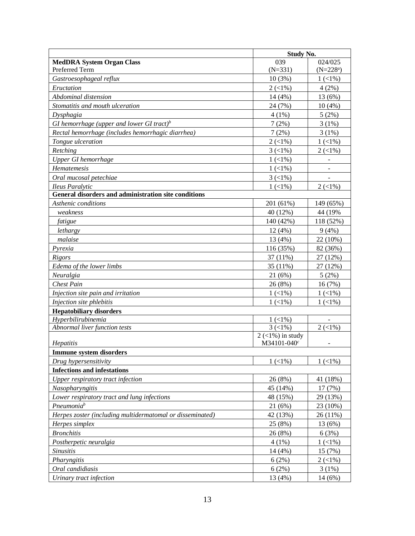|                                                           | <b>Study No.</b>                    |             |
|-----------------------------------------------------------|-------------------------------------|-------------|
| <b>MedDRA System Organ Class</b>                          | 039                                 | 024/025     |
| Preferred Term                                            | $(N=331)$                           | $(N=228^a)$ |
| Gastroesophageal reflux                                   | 10(3%)                              | $1(1\%)$    |
| Eructation                                                | $2(1\%)$                            | 4(2%)       |
| Abdominal distension                                      | 14 (4%)                             | 13 (6%)     |
| Stomatitis and mouth ulceration                           | 24 (7%)                             | 10(4%)      |
| Dysphagia                                                 | $4(1\%)$                            | 5(2%)       |
| GI hemorrhage (upper and lower GI tract) <sup>b</sup>     | 7(2%)                               | 3(1%)       |
| Rectal hemorrhage (includes hemorrhagic diarrhea)         | 7(2%)                               | 3(1%)       |
| Tongue ulceration                                         | $2(1\%)$                            | $1(1\%)$    |
| Retching                                                  | $3(1\%)$                            | $2(1\%)$    |
| <b>Upper GI</b> hemorrhage                                | $1(1\%)$                            |             |
| Hematemesis                                               | $1(1\%)$                            |             |
| Oral mucosal petechiae                                    | $3(1\%)$                            |             |
| <b>Ileus Paralytic</b>                                    | $1(1\%)$                            | $2(1\%)$    |
| General disorders and administration site conditions      |                                     |             |
| Asthenic conditions                                       | 201 (61%)                           | 149 (65%)   |
| weakness                                                  | 40 (12%)                            | 44 (19%)    |
| fatigue                                                   | 140 (42%)                           | 118 (52%)   |
| lethargy                                                  | 12(4%)                              | 9(4%)       |
| malaise                                                   | 13 (4%)                             | 22 (10%)    |
| Pyrexia                                                   | 116 (35%)                           | 82 (36%)    |
| Rigors                                                    | 37 (11%)                            | 27 (12%)    |
| Edema of the lower limbs                                  | 35 (11%)                            | 27 (12%)    |
| Neuralgia                                                 | 21(6%)                              | 5(2%)       |
| <b>Chest Pain</b>                                         | 26 (8%)                             | 16(7%)      |
| Injection site pain and irritation                        | $1(1\%)$                            | $1(1\%)$    |
| Injection site phlebitis                                  | $1(1\%)$                            | $1(1\%)$    |
| <b>Hepatobiliary disorders</b>                            |                                     |             |
| Hyperbilirubinemia                                        | $1(1\%)$                            |             |
| Abnormal liver function tests                             | $\overline{3}$ (<1%)                | $2(1\%)$    |
| Hepatitis                                                 | $2$ (<1%) in study<br>$M34101-040c$ |             |
| <b>Immune system disorders</b>                            |                                     |             |
| Drug hypersensitivity                                     | $1(1\%)$                            | $1(1\%)$    |
| <b>Infections and infestations</b>                        |                                     |             |
| Upper respiratory tract infection                         | 26 (8%)                             | 41 (18%)    |
| Nasopharyngitis                                           | 45 (14%)                            | 17(7%)      |
| Lower respiratory tract and lung infections               | 48 (15%)                            | 29 (13%)    |
| Pneumonia <sup>b</sup>                                    | 21 (6%)                             | 23 (10%)    |
| Herpes zoster (including multidermatomal or disseminated) | 42 (13%)                            | 26 (11%)    |
| Herpes simplex                                            | 25 (8%)                             | 13 (6%)     |
| <b>Bronchitis</b>                                         | 26 (8%)                             | 6(3%)       |
| Postherpetic neuralgia                                    | $4(1\%)$                            | $1(1\%)$    |
| <i>Sinusitis</i>                                          | 14 (4%)                             | 15 (7%)     |
| Pharyngitis                                               | 6(2%)                               | $2(1\%)$    |
| Oral candidiasis                                          | 6(2%)                               | 3(1%)       |
| Urinary tract infection                                   | 13 (4%)                             | 14 (6%)     |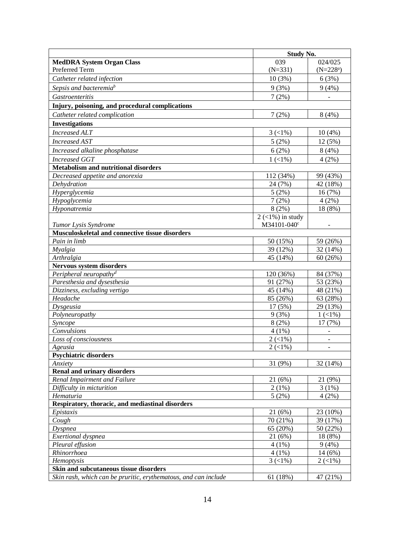|                                                                 | <b>Study No.</b>        |                          |
|-----------------------------------------------------------------|-------------------------|--------------------------|
| <b>MedDRA System Organ Class</b>                                | 039                     | 024/025                  |
| Preferred Term                                                  | $(N=331)$               | $(N=228^a)$              |
| Catheter related infection                                      | 10(3%)                  | 6(3%)                    |
| Sepsis and bacteremiab                                          | 9(3%)                   | 9(4%)                    |
| <b>Gastroenteritis</b>                                          | 7(2%)                   | $\overline{\phantom{a}}$ |
| Injury, poisoning, and procedural complications                 |                         |                          |
| Catheter related complication                                   | 7(2%)                   | 8(4%)                    |
| <b>Investigations</b>                                           |                         |                          |
| <b>Increased ALT</b>                                            | $3(1\%)$                | 10(4%)                   |
|                                                                 |                         |                          |
| <b>Increased AST</b>                                            | 5(2%)                   | 12 (5%)                  |
| Increased alkaline phosphatase                                  | 6(2%)                   | 8(4%)                    |
| <b>Increased GGT</b>                                            | $1(1\%)$                | 4(2%)                    |
| <b>Metabolism and nutritional disorders</b>                     |                         |                          |
| Decreased appetite and anorexia                                 | 112 (34%)               | 99 (43%)                 |
| Dehydration                                                     | 24 (7%)                 | 42 (18%)                 |
| Hyperglycemia                                                   | 5(2%)                   | 16 (7%)                  |
| Hypoglycemia                                                    | 7(2%)                   | 4(2%)                    |
| Hyponatremia                                                    | 8(2%)                   | 18 (8%)                  |
|                                                                 | $2$ (<1%) in study      |                          |
| Tumor Lysis Syndrome                                            | M34101-040 <sup>c</sup> | $\overline{\phantom{a}}$ |
| Musculoskeletal and connective tissue disorders<br>Pain in limb |                         |                          |
|                                                                 | 50 (15%)                | 59 (26%)                 |
| Myalgia<br>Arthralgia                                           | 39 (12%)<br>45 (14%)    | 32 (14%)                 |
| Nervous system disorders                                        |                         | 60(26%)                  |
| Peripheral neuropathy <sup>d</sup>                              | 120 (36%)               | 84 (37%)                 |
| Paresthesia and dysesthesia                                     | 91 (27%)                | 53 (23%)                 |
| Dizziness, excluding vertigo                                    | 45 (14%)                | 48 (21%)                 |
| Headache                                                        | 85 (26%)                | 63 (28%)                 |
| Dysgeusia                                                       | 17 (5%)                 | 29 (13%)                 |
| Polyneuropathy                                                  | 9(3%)                   | $1(1\%)$                 |
| Syncope                                                         | 8(2%)                   | 17 (7%)                  |
| Convulsions                                                     | $4(1\%)$                | $\overline{a}$           |
| Loss of consciousness                                           | $2(1\%)$                | $\bar{\phantom{a}}$      |
| Ageusia                                                         | $2(1\%)$                | $\overline{a}$           |
| <b>Psychiatric disorders</b>                                    |                         |                          |
| Anxiety                                                         | 31 (9%)                 | 32 (14%)                 |
| <b>Renal and urinary disorders</b>                              |                         |                          |
| Renal Impairment and Failure                                    | 21(6%)                  | 21 (9%)                  |
| Difficulty in micturition                                       | 2(1%)                   | 3(1%)                    |
| Hematuria                                                       | 5(2%)                   | 4(2%)                    |
| Respiratory, thoracic, and mediastinal disorders                |                         |                          |
| Epistaxis                                                       | 21(6%)                  | 23 (10%)                 |
| Cough                                                           | 70 (21%)                | 39 (17%)                 |
| <b>Dyspnea</b>                                                  | 65 (20%)                | 50 (22%)                 |
| Exertional dyspnea                                              | 21(6%)                  | 18 (8%)                  |
| Pleural effusion                                                | $4(1\%)$                | 9(4%)                    |
| Rhinorrhoea                                                     | $4(1\%)$                | 14 (6%)                  |
| Hemoptysis                                                      | $3(1\%)$                | $2(1\%)$                 |
| Skin and subcutaneous tissue disorders                          |                         |                          |
| Skin rash, which can be pruritic, erythematous, and can include | 61 (18%)                | 47 (21%)                 |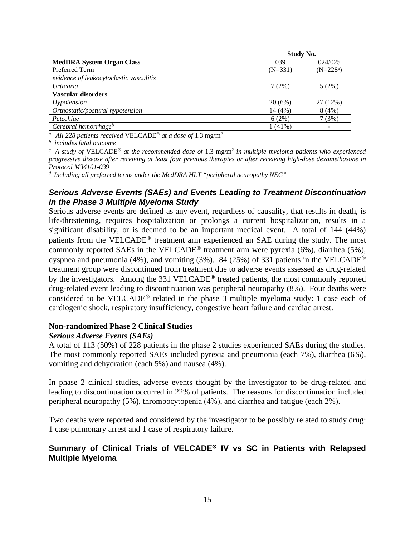|                                         | <b>Study No.</b> |                          |  |  |
|-----------------------------------------|------------------|--------------------------|--|--|
| <b>MedDRA System Organ Class</b>        | 039              | 024/025                  |  |  |
| Preferred Term                          | $(N=331)$        | $(N=228^a)$              |  |  |
| evidence of leukocytoclastic vasculitis |                  |                          |  |  |
| <i>Urticaria</i>                        | 7 (2%)           | 5(2%)                    |  |  |
| <b>Vascular disorders</b>               |                  |                          |  |  |
| Hypotension                             | 20(6%)           | 27 (12%)                 |  |  |
| Orthostatic/postural hypotension        | 14 (4%)          | 8(4%)                    |  |  |
| Petechiae                               | 6(2%)            | 7(3%)                    |  |  |
| Cerebral hemorrhage $b$                 | $1(1\%)$         | $\overline{\phantom{a}}$ |  |  |

<sup>*a*</sup> All 228 patients received VELCADE<sup>®</sup> at a dose of 1.3 mg/m<sup>2</sup>

*b includes fatal outcome*

 $c_A$  *A study of VELCADE*<sup>®</sup> *at the recommended dose of* 1.3 mg/m<sup>2</sup> *in multiple myeloma patients who experienced progressive disease after receiving at least four previous therapies or after receiving high-dose dexamethasone in Protocol M34101-039*

*d Including all preferred terms under the MedDRA HLT "peripheral neuropathy NEC"*

## *Serious Adverse Events (SAEs) and Events Leading to Treatment Discontinuation in the Phase 3 Multiple Myeloma Study*

Serious adverse events are defined as any event, regardless of causality, that results in death, is life-threatening, requires hospitalization or prolongs a current hospitalization, results in a significant disability, or is deemed to be an important medical event. A total of 144 (44%) patients from the VELCADE<sup>®</sup> treatment arm experienced an SAE during the study. The most commonly reported SAEs in the VELCADE<sup>®</sup> treatment arm were pyrexia (6%), diarrhea (5%), dyspnea and pneumonia (4%), and vomiting (3%). 84 (25%) of 331 patients in the VELCADE<sup>®</sup> treatment group were discontinued from treatment due to adverse events assessed as drug-related by the investigators. Among the 331 VELCADE<sup>®</sup> treated patients, the most commonly reported drug-related event leading to discontinuation was peripheral neuropathy (8%). Four deaths were considered to be VELCADE<sup>®</sup> related in the phase 3 multiple myeloma study: 1 case each of cardiogenic shock, respiratory insufficiency, congestive heart failure and cardiac arrest.

### **Non-randomized Phase 2 Clinical Studies**

### *Serious Adverse Events (SAEs)*

A total of 113 (50%) of 228 patients in the phase 2 studies experienced SAEs during the studies. The most commonly reported SAEs included pyrexia and pneumonia (each 7%), diarrhea (6%), vomiting and dehydration (each 5%) and nausea (4%).

In phase 2 clinical studies, adverse events thought by the investigator to be drug-related and leading to discontinuation occurred in 22% of patients. The reasons for discontinuation included peripheral neuropathy (5%), thrombocytopenia (4%), and diarrhea and fatigue (each 2%).

Two deaths were reported and considered by the investigator to be possibly related to study drug: 1 case pulmonary arrest and 1 case of respiratory failure.

## Summary of Clinical Trials of VELCADE<sup>®</sup> IV vs SC in Patients with Relapsed **Multiple Myeloma**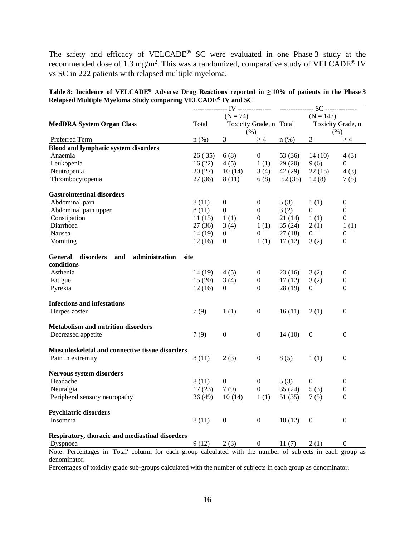The safety and efficacy of VELCADE® SC were evaluated in one Phase 3 study at the recommended dose of 1.3 mg/m<sup>2</sup>. This was a randomized, comparative study of VELCADE<sup>®</sup> IV vs SC in 222 patients with relapsed multiple myeloma.

Table 8: Incidence of VELCADE<sup>®</sup> Adverse Drug Reactions reported in  $\geq 10\%$  of patients in the Phase 3 **Relapsed Multiple Myeloma Study comparing VELCADE IV and SC**

|                                                                                                            |         | $(N = 74)$              |                  |         | $(N = 147)$       |                  |
|------------------------------------------------------------------------------------------------------------|---------|-------------------------|------------------|---------|-------------------|------------------|
| <b>MedDRA System Organ Class</b>                                                                           | Total   | Toxicity Grade, n Total |                  |         | Toxicity Grade, n |                  |
|                                                                                                            |         | (% )                    |                  |         | (% )              |                  |
| Preferred Term                                                                                             | $n$ (%) | 3 <sup>7</sup>          | $\geq$ 4         | $n$ (%) | 3 <sup>7</sup>    | $\geq$ 4         |
| <b>Blood and lymphatic system disorders</b>                                                                |         |                         |                  |         |                   |                  |
| Anaemia                                                                                                    | 26(35)  | 6(8)                    | $\overline{0}$   | 53 (36) | 14(10)            | 4(3)             |
| Leukopenia                                                                                                 | 16(22)  | 4(5)                    | 1(1)             | 29(20)  | 9(6)              | $\theta$         |
| Neutropenia                                                                                                | 20(27)  | 10(14)                  | 3(4)             | 42(29)  | 22(15)            | 4(3)             |
| Thrombocytopenia                                                                                           | 27(36)  | 8 (11)                  | 6(8)             | 52(35)  | 12(8)             | 7(5)             |
| <b>Gastrointestinal disorders</b>                                                                          |         |                         |                  |         |                   |                  |
| Abdominal pain                                                                                             | 8(11)   | $\boldsymbol{0}$        | $\overline{0}$   | 5(3)    | 1(1)              | $\boldsymbol{0}$ |
| Abdominal pain upper                                                                                       | 8(11)   | $\overline{0}$          | $\overline{0}$   | 3(2)    | $\mathbf{0}$      | $\boldsymbol{0}$ |
| Constipation                                                                                               | 11(15)  | 1(1)                    | $\overline{0}$   | 21(14)  | 1(1)              | $\boldsymbol{0}$ |
| Diarrhoea                                                                                                  | 27(36)  | 3(4)                    | 1(1)             | 35(24)  | 2(1)              | 1(1)             |
| Nausea                                                                                                     | 14 (19) | $\overline{0}$          | $\boldsymbol{0}$ | 27(18)  | $\overline{0}$    | $\boldsymbol{0}$ |
| Vomiting                                                                                                   | 12(16)  | $\overline{0}$          | 1(1)             | 17(12)  | 3(2)              | $\mathbf{0}$     |
| disorders<br>and<br>administration<br>site<br>General                                                      |         |                         |                  |         |                   |                  |
| conditions                                                                                                 |         |                         |                  |         |                   |                  |
| Asthenia                                                                                                   | 14(19)  | 4(5)                    | $\mathbf{0}$     | 23(16)  | 3(2)              | $\boldsymbol{0}$ |
| Fatigue                                                                                                    | 15(20)  | 3(4)                    | $\mathbf{0}$     | 17(12)  | 3(2)              | $\boldsymbol{0}$ |
| Pyrexia                                                                                                    | 12(16)  | $\left( 0 \right)$      | $\overline{0}$   | 28(19)  | $\left($          | $\boldsymbol{0}$ |
| <b>Infections and infestations</b>                                                                         |         |                         |                  |         |                   |                  |
| Herpes zoster                                                                                              | 7(9)    | 1(1)                    | $\boldsymbol{0}$ | 16(11)  | 2(1)              | $\mathbf{0}$     |
| <b>Metabolism and nutrition disorders</b>                                                                  |         |                         |                  |         |                   |                  |
| Decreased appetite                                                                                         | 7(9)    | $\mathbf{0}$            | $\boldsymbol{0}$ | 14(10)  | $\mathbf{0}$      | $\boldsymbol{0}$ |
| Musculoskeletal and connective tissue disorders                                                            |         |                         |                  |         |                   |                  |
| Pain in extremity                                                                                          | 8(11)   | 2(3)                    | $\boldsymbol{0}$ | 8(5)    | 1(1)              | $\boldsymbol{0}$ |
| Nervous system disorders                                                                                   |         |                         |                  |         |                   |                  |
| Headache                                                                                                   | 8(11)   | $\boldsymbol{0}$        | $\overline{0}$   | 5(3)    | $\boldsymbol{0}$  | $\boldsymbol{0}$ |
| Neuralgia                                                                                                  | 17(23)  | 7(9)                    | $\overline{0}$   | 35(24)  | 5(3)              | $\boldsymbol{0}$ |
| Peripheral sensory neuropathy                                                                              | 36(49)  | 10(14)                  | 1(1)             | 51(35)  | 7(5)              | $\mathbf{0}$     |
| <b>Psychiatric disorders</b>                                                                               |         |                         |                  |         |                   |                  |
| Insomnia                                                                                                   | 8(11)   | $\overline{0}$          | $\boldsymbol{0}$ | 18(12)  | $\theta$          | $\boldsymbol{0}$ |
| Respiratory, thoracic and mediastinal disorders                                                            |         |                         |                  |         |                   |                  |
| Dyspnoea                                                                                                   | 9(12)   | 2(3)                    | 0                | 11(7)   | 2(1)              | $\Omega$         |
| Note: Percentages in 'Total' column for each group calculated with the number of subjects in each group as |         |                         |                  |         |                   |                  |

denominator.

Percentages of toxicity grade sub-groups calculated with the number of subjects in each group as denominator.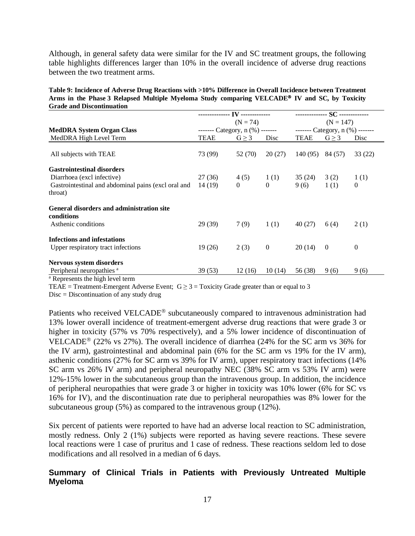Although, in general safety data were similar for the IV and SC treatment groups, the following table highlights differences larger than 10% in the overall incidence of adverse drug reactions between the two treatment arms.

| Table 9: Incidence of Adverse Drug Reactions with >10% Difference in Overall Incidence between Treatment  |
|-----------------------------------------------------------------------------------------------------------|
| Arms in the Phase 3 Relapsed Multiple Myeloma Study comparing VELCADE <sup>®</sup> IV and SC, by Toxicity |
| <b>Grade and Discontinuation</b>                                                                          |

|                                                                |                                   |                |                |          | -------------- SC ------------    |                |
|----------------------------------------------------------------|-----------------------------------|----------------|----------------|----------|-----------------------------------|----------------|
|                                                                |                                   | $(N = 74)$     |                |          | $(N = 147)$                       |                |
| <b>MedDRA System Organ Class</b>                               | ------- Category, $n$ (%) ------- |                |                |          | ------- Category, $n$ (%) ------- |                |
| MedDRA High Level Term                                         | <b>TEAE</b>                       | $G \geq 3$     | Disc           | TEAE     | $G \geq 3$                        | Disc           |
| All subjects with TEAE                                         | 73 (99)                           | 52 (70)        | 20(27)         | 140 (95) | 84 (57)                           | 33 (22)        |
| <b>Gastrointestinal disorders</b>                              |                                   |                |                |          |                                   |                |
| Diarrhoea (excl infective)                                     | 27 (36)                           | 4(5)           | 1(1)           | 35 (24)  | 3(2)                              | 1(1)           |
| Gastrointestinal and abdominal pains (excl oral and            | 14 (19)                           | $\overline{0}$ | $\theta$       | 9(6)     | 1(1)                              | $\overline{0}$ |
| throat)                                                        |                                   |                |                |          |                                   |                |
| <b>General disorders and administration site</b><br>conditions |                                   |                |                |          |                                   |                |
| Asthenic conditions                                            | 29 (39)                           | 7(9)           | 1(1)           | 40 (27)  | 6(4)                              | 2(1)           |
| <b>Infections and infestations</b>                             |                                   |                |                |          |                                   |                |
| Upper respiratory tract infections                             | 19(26)                            | 2(3)           | $\overline{0}$ | 20(14)   | $\overline{0}$                    | $\mathbf{0}$   |
| Nervous system disorders                                       |                                   |                |                |          |                                   |                |
| Peripheral neuropathies <sup>a</sup>                           | 39 (53)                           | 12(16)         | 10(14)         | 56 (38)  | 9(6)                              | 9(6)           |
| <sup>a</sup> Represents the high level term                    |                                   |                |                |          |                                   |                |

TEAE = Treatment-Emergent Adverse Event;  $G \ge 3 =$  Toxicity Grade greater than or equal to 3

Disc = Discontinuation of any study drug

Patients who received VELCADE<sup>®</sup> subcutaneously compared to intravenous administration had 13% lower overall incidence of treatment-emergent adverse drug reactions that were grade 3 or higher in toxicity (57% vs 70% respectively), and a 5% lower incidence of discontinuation of VELCADE<sup>®</sup> (22% vs 27%). The overall incidence of diarrhea (24% for the SC arm vs 36% for the IV arm), gastrointestinal and abdominal pain (6% for the SC arm vs 19% for the IV arm), asthenic conditions (27% for SC arm vs 39% for IV arm), upper respiratory tract infections (14% SC arm vs 26% IV arm) and peripheral neuropathy NEC (38% SC arm vs 53% IV arm) were 12%-15% lower in the subcutaneous group than the intravenous group. In addition, the incidence of peripheral neuropathies that were grade 3 or higher in toxicity was 10% lower (6% for SC vs 16% for IV), and the discontinuation rate due to peripheral neuropathies was 8% lower for the subcutaneous group (5%) as compared to the intravenous group (12%).

Six percent of patients were reported to have had an adverse local reaction to SC administration, mostly redness. Only 2 (1%) subjects were reported as having severe reactions. These severe local reactions were 1 case of pruritus and 1 case of redness. These reactions seldom led to dose modifications and all resolved in a median of 6 days.

## **Summary of Clinical Trials in Patients with Previously Untreated Multiple Myeloma**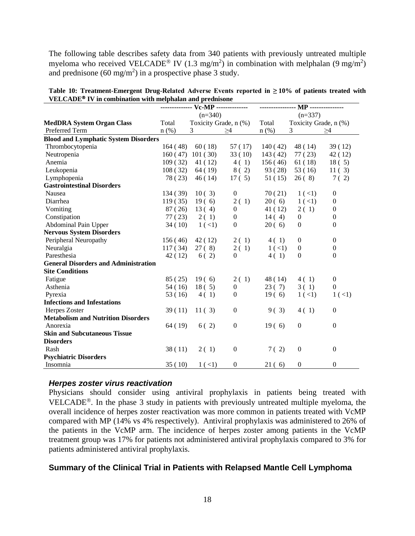The following table describes safety data from 340 patients with previously untreated multiple myeloma who received VELCADE<sup>®</sup> IV (1.3 mg/m<sup>2</sup>) in combination with melphalan (9 mg/m<sup>2</sup>) and prednisone (60 mg/m<sup>2</sup>) in a prospective phase 3 study.

| , ELCADE<br>TV in compliance with meiphalan and preditione |          | ------------- Vc-MP ------------- |                  | ------------ | <b>MP</b> --------------- |                  |
|------------------------------------------------------------|----------|-----------------------------------|------------------|--------------|---------------------------|------------------|
|                                                            |          | $(n=340)$                         |                  |              | $(n=337)$                 |                  |
| <b>MedDRA System Organ Class</b>                           | Total    | Toxicity Grade, n (%)             |                  | Total        | Toxicity Grade, n (%)     |                  |
| Preferred Term                                             | $n$ (%)  | 3                                 | >4               | $n$ (%)      | 3                         | >4               |
| <b>Blood and Lymphatic System Disorders</b>                |          |                                   |                  |              |                           |                  |
| Thrombocytopenia                                           | 164 (48) | 60(18)                            | 57 (17)          | 140(42)      | 48 (14)                   | 39(12)           |
| Neutropenia                                                | 160(47)  | 101(30)                           | 33(10)           | 143(42)      | 77(23)                    | 42 (12)          |
| Anemia                                                     | 109(32)  | 41 (12)                           | 4(1)             | 156(46)      | 61(18)                    | 18(5)            |
| Leukopenia                                                 | 108(32)  | 64 (19)                           | 8(2)             | 93 (28)      | 53(16)                    | 11(3)            |
| Lymphopenia                                                | 78 (23)  | 46(14)                            | 17(5)            | 51 (15)      | 26(8)                     | 7(2)             |
| <b>Gastrointestinal Disorders</b>                          |          |                                   |                  |              |                           |                  |
| Nausea                                                     | 134 (39) | 10(3)                             | $\mathbf{0}$     | 70(21)       | $1($ <1)                  | $\boldsymbol{0}$ |
| Diarrhea                                                   | 119(35)  | 19(6)                             | 2(1)             | 20(6)        | 1 (< 1)                   | $\boldsymbol{0}$ |
| Vomiting                                                   | 87 (26)  | 13(4)                             | $\overline{0}$   | 41 (12)      | 2(1)                      | $\mathbf{0}$     |
| Constipation                                               | 77 (23)  | 2(1)                              | $\overline{0}$   | 14(4)        | $\overline{0}$            | $\mathbf{0}$     |
| Abdominal Pain Upper                                       | 34(10)   | $1($ <1)                          | $\overline{0}$   | 20(6)        | $\theta$                  | $\mathbf{0}$     |
| <b>Nervous System Disorders</b>                            |          |                                   |                  |              |                           |                  |
| Peripheral Neuropathy                                      | 156(46)  | 42(12)                            | 2(1)             | 4 (1)        | $\boldsymbol{0}$          | $\theta$         |
| Neuralgia                                                  | 117(34)  | 27(8)                             | 2(1)             | 1 (< 1)      | $\mathbf{0}$              | 0                |
| Paresthesia                                                | 42 (12)  | 6(2)                              | $\Omega$         | 4(1)         | $\theta$                  | $\Omega$         |
| <b>General Disorders and Administration</b>                |          |                                   |                  |              |                           |                  |
| <b>Site Conditions</b>                                     |          |                                   |                  |              |                           |                  |
| Fatigue                                                    | 85 (25)  | 19(6)                             | 2(1)             | 48 (14)      | 4(1)                      | $\boldsymbol{0}$ |
| Asthenia                                                   | 54 (16)  | 18(5)                             | $\mathbf{0}$     | 23(7)        | 3(1)                      | $\boldsymbol{0}$ |
| Pyrexia                                                    | 53(16)   | 4(1)                              | $\overline{0}$   | 19(6)        | 1 (< 1)                   | $1($ <1)         |
| <b>Infections and Infestations</b>                         |          |                                   |                  |              |                           |                  |
| Herpes Zoster                                              | 39(11)   | 11(3)                             | $\boldsymbol{0}$ | 9(3)         | 4(1)                      | $\mathbf{0}$     |
| <b>Metabolism and Nutrition Disorders</b>                  |          |                                   |                  |              |                           |                  |
| Anorexia                                                   | 64 (19)  | 6(2)                              | $\overline{0}$   | 19(6)        | $\mathbf{0}$              | $\mathbf{0}$     |
| <b>Skin and Subcutaneous Tissue</b>                        |          |                                   |                  |              |                           |                  |
| <b>Disorders</b>                                           |          |                                   |                  |              |                           |                  |
| Rash                                                       | 38(11)   | 2(1)                              | $\overline{0}$   | 7(2)         | $\theta$                  | $\theta$         |
| <b>Psychiatric Disorders</b>                               |          |                                   |                  |              |                           |                  |
| Insomnia                                                   | 35(10)   | $1 (-1)$                          | $\boldsymbol{0}$ | 21(6)        | $\mathbf{0}$              | $\boldsymbol{0}$ |

**Table 10: Treatment-Emergent Drug-Related Adverse Events reported in ≥ 10% of patients treated with VELCADE IV in combination with melphalan and prednisone** 

### *Herpes zoster virus reactivation*

Physicians should consider using antiviral prophylaxis in patients being treated with VELCADE<sup>®</sup>. In the phase 3 study in patients with previously untreated multiple myeloma, the overall incidence of herpes zoster reactivation was more common in patients treated with VcMP compared with MP (14% vs 4% respectively). Antiviral prophylaxis was administered to 26% of the patients in the VcMP arm. The incidence of herpes zoster among patients in the VcMP treatment group was 17% for patients not administered antiviral prophylaxis compared to 3% for patients administered antiviral prophylaxis.

### **Summary of the Clinical Trial in Patients with Relapsed Mantle Cell Lymphoma**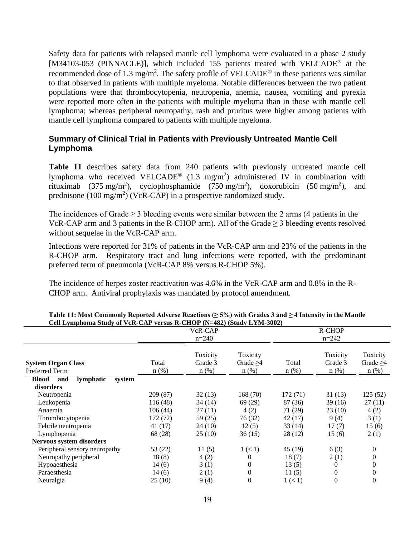Safety data for patients with relapsed mantle cell lymphoma were evaluated in a phase 2 study [M34103-053 (PINNACLE)], which included 155 patients treated with VELCADE<sup>®</sup> at the recommended dose of 1.3 mg/m<sup>2</sup>. The safety profile of VELCADE<sup>®</sup> in these patients was similar to that observed in patients with multiple myeloma. Notable differences between the two patient populations were that thrombocytopenia, neutropenia, anemia, nausea, vomiting and pyrexia were reported more often in the patients with multiple myeloma than in those with mantle cell lymphoma; whereas peripheral neuropathy, rash and pruritus were higher among patients with mantle cell lymphoma compared to patients with multiple myeloma.

## **Summary of Clinical Trial in Patients with Previously Untreated Mantle Cell Lymphoma**

**Table 11** describes safety data from 240 patients with previously untreated mantle cell lymphoma who received VELCADE<sup>®</sup> (1.3 mg/m<sup>2</sup>) administered IV in combination with rituximab (375 mg/m<sup>2</sup>), cyclophosphamide (750 mg/m<sup>2</sup>), doxorubicin (50 mg/m<sup>2</sup>), and prednisone (100 mg/m<sup>2</sup>) (VcR-CAP) in a prospective randomized study.

The incidences of Grade  $\geq 3$  bleeding events were similar between the 2 arms (4 patients in the VcR-CAP arm and 3 patients in the R-CHOP arm). All of the Grade  $\geq$  3 bleeding events resolved without sequelae in the VcR-CAP arm.

Infections were reported for 31% of patients in the VcR-CAP arm and 23% of the patients in the R-CHOP arm. Respiratory tract and lung infections were reported, with the predominant preferred term of pneumonia (VcR-CAP 8% versus R-CHOP 5%).

The incidence of herpes zoster reactivation was 4.6% in the VcR-CAP arm and 0.8% in the R-CHOP arm. Antiviral prophylaxis was mandated by protocol amendment.

|                                             |                  | VcR-CAP                        |                                   |                  | R-CHOP                         |                                       |
|---------------------------------------------|------------------|--------------------------------|-----------------------------------|------------------|--------------------------------|---------------------------------------|
|                                             |                  | $n=240$                        |                                   |                  | $n=242$                        |                                       |
| <b>System Organ Class</b><br>Preferred Term | Total<br>$n$ (%) | Toxicity<br>Grade 3<br>$n$ (%) | Toxicity<br>Grade $>4$<br>$n$ (%) | Total<br>$n$ (%) | Toxicity<br>Grade 3<br>$n$ (%) | Toxicity<br>Grade $\geq 4$<br>$n$ (%) |
| lymphatic<br><b>Blood</b><br>and<br>system  |                  |                                |                                   |                  |                                |                                       |
| disorders                                   |                  |                                |                                   |                  |                                |                                       |
| Neutropenia                                 | 209 (87)         | 32(13)                         | 168(70)                           | 172(71)          | 31(13)                         | 125(52)                               |
| Leukopenia                                  | 116 (48)         | 34 (14)                        | 69 (29)                           | 87 (36)          | 39 (16)                        | 27(11)                                |
| Anaemia                                     | 106(44)          | 27(11)                         | 4(2)                              | 71 (29)          | 23(10)                         | 4(2)                                  |
| Thrombocytopenia                            | 172 (72)         | 59 (25)                        | 76 (32)                           | 42(17)           | 9(4)                           | 3(1)                                  |
| Febrile neutropenia                         | 41 (17)          | 24 (10)                        | 12(5)                             | 33 (14)          | 17(7)                          | 15(6)                                 |
| Lymphopenia                                 | 68 (28)          | 25(10)                         | 36(15)                            | 28 (12)          | 15(6)                          | 2(1)                                  |
| Nervous system disorders                    |                  |                                |                                   |                  |                                |                                       |
| Peripheral sensory neuropathy               | 53 (22)          | 11(5)                          | 1 (< 1)                           | 45 (19)          | 6(3)                           | $\Omega$                              |
| Neuropathy peripheral                       | 18(8)            | 4(2)                           | 0                                 | 18(7)            | 2(1)                           | 0                                     |
| Hypoaesthesia                               | 14(6)            | 3(1)                           | 0                                 | 13(5)            | $\Omega$                       | 0                                     |
| Paraesthesia                                | 14(6)            | 2(1)                           | $\overline{0}$                    | 11(5)            | $\Omega$                       | 0                                     |
| Neuralgia                                   | 25(10)           | 9(4)                           | $\overline{0}$                    | 1 (< 1)          | $\theta$                       | 0                                     |

| Table 11: Most Commonly Reported Adverse Reactions ( $\geq$ 5%) with Grades 3 and $\geq$ 4 Intensity in the Mantle |  |
|--------------------------------------------------------------------------------------------------------------------|--|
| Cell Lymphoma Study of VcR-CAP versus R-CHOP (N=482) (Study LYM-3002)                                              |  |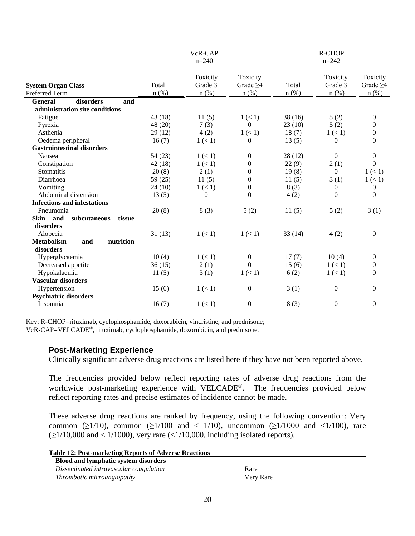|                                                    |                  | VcR-CAP                        |                                       |                  | R-CHOP                         |                                       |
|----------------------------------------------------|------------------|--------------------------------|---------------------------------------|------------------|--------------------------------|---------------------------------------|
|                                                    |                  | $n = 240$                      |                                       |                  | $n = 242$                      |                                       |
| <b>System Organ Class</b><br>Preferred Term        | Total<br>$n$ (%) | Toxicity<br>Grade 3<br>$n$ (%) | Toxicity<br>Grade $\geq 4$<br>$n$ (%) | Total<br>$n$ (%) | Toxicity<br>Grade 3<br>$n$ (%) | Toxicity<br>Grade $\geq 4$<br>$n$ (%) |
| disorders<br><b>General</b><br>and                 |                  |                                |                                       |                  |                                |                                       |
| administration site conditions                     |                  |                                |                                       |                  |                                |                                       |
| Fatigue                                            | 43 (18)          | 11(5)                          | 1 (< 1)                               | 38(16)           | 5(2)                           | $\boldsymbol{0}$                      |
| Pyrexia                                            | 48 (20)          | 7(3)                           | $\mathbf{0}$                          | 23(10)           | 5(2)                           | $\Omega$                              |
| Asthenia                                           | 29(12)           | 4(2)                           | 1 (< 1)                               | 18(7)            | 1 (< 1)                        | $\overline{0}$                        |
| Oedema peripheral                                  | 16(7)            | 1 (< 1)                        | 0                                     | 13(5)            | $\Omega$                       | $\theta$                              |
| <b>Gastrointestinal disorders</b>                  |                  |                                |                                       |                  |                                |                                       |
| Nausea                                             | 54(23)           | 1 (< 1)                        | $\theta$                              | 28 (12)          | $\overline{0}$                 | $\boldsymbol{0}$                      |
| Constipation                                       | 42(18)           | 1 (< 1)                        | $\theta$                              | 22(9)            | 2(1)                           | $\overline{0}$                        |
| Stomatitis                                         | 20(8)            | 2(1)                           | $\boldsymbol{0}$                      | 19(8)            | $\overline{0}$                 | 1 (< 1)                               |
| Diarrhoea                                          | 59(25)           | 11(5)                          | $\boldsymbol{0}$                      | 11(5)            | 3(1)                           | 1 (< 1)                               |
| Vomiting                                           | 24(10)           | 1 (< 1)                        | $\boldsymbol{0}$                      | 8(3)             | $\mathbf{0}$                   | $\overline{0}$                        |
| Abdominal distension                               | 13(5)            | $\overline{0}$                 | $\boldsymbol{0}$                      | 4(2)             | $\theta$                       | $\mathbf{0}$                          |
| <b>Infections and infestations</b>                 |                  |                                |                                       |                  |                                |                                       |
| Pneumonia                                          | 20(8)            | 8(3)                           | 5(2)                                  | 11(5)            | 5(2)                           | 3(1)                                  |
| Skin and<br>subcutaneous<br>tissue<br>disorders    |                  |                                |                                       |                  |                                |                                       |
| Alopecia                                           | 31(13)           | 1 (< 1)                        | 1 (< 1)                               | 33(14)           | 4(2)                           | $\boldsymbol{0}$                      |
| <b>Metabolism</b><br>nutrition<br>and<br>disorders |                  |                                |                                       |                  |                                |                                       |
| Hyperglycaemia                                     | 10(4)            | 1 (< 1)                        | $\boldsymbol{0}$                      | 17(7)            | 10(4)                          | $\overline{0}$                        |
| Decreased appetite                                 | 36(15)           | 2(1)                           | $\Omega$                              | 15(6)            | 1 (< 1)                        | $\overline{0}$                        |
| Hypokalaemia                                       | 11(5)            | 3(1)                           | 1 (< 1)                               | 6(2)             | 1 (< 1)                        | $\theta$                              |
| <b>Vascular disorders</b>                          |                  |                                |                                       |                  |                                |                                       |
| Hypertension                                       | 15(6)            | 1 (< 1)                        | $\mathbf{0}$                          | 3(1)             | $\Omega$                       | $\mathbf{0}$                          |
| <b>Psychiatric disorders</b>                       |                  |                                |                                       |                  |                                |                                       |
| Insomnia                                           | 16(7)            | 1 (< 1)                        | $\mathbf{0}$                          | 8(3)             | $\boldsymbol{0}$               | $\boldsymbol{0}$                      |

Key: R-CHOP=rituximab, cyclophosphamide, doxorubicin, vincristine, and prednisone; VcR-CAP=VELCADE®, rituximab, cyclophosphamide, doxorubicin, and prednisone.

### **Post-Marketing Experience**

Clinically significant adverse drug reactions are listed here if they have not been reported above.

The frequencies provided below reflect reporting rates of adverse drug reactions from the worldwide post-marketing experience with VELCADE<sup>®</sup>. The frequencies provided below reflect reporting rates and precise estimates of incidence cannot be made.

These adverse drug reactions are ranked by frequency, using the following convention: Very common ( $\geq$ 1/10), common ( $\geq$ 1/100 and < 1/10), uncommon ( $\geq$ 1/1000 and <1/100), rare  $(\geq 1/10,000$  and < 1/1000), very rare (<1/10,000, including isolated reports).

**Table 12: Post-marketing Reports of Adverse Reactions**

| <b>Blood and lymphatic system disorders</b> |           |
|---------------------------------------------|-----------|
| Disseminated intravascular coagulation      | Rare      |
| Thrombotic microangiopathy                  | Verv Rare |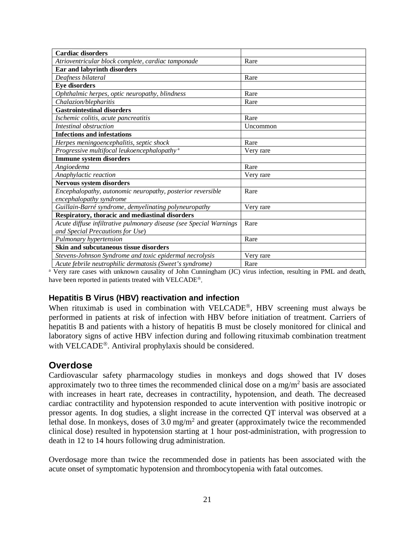| <b>Cardiac disorders</b>                                           |           |
|--------------------------------------------------------------------|-----------|
| Atrioventricular block complete, cardiac tamponade                 | Rare      |
| Ear and labyrinth disorders                                        |           |
| Deafness bilateral                                                 | Rare      |
| <b>Eye disorders</b>                                               |           |
| Ophthalmic herpes, optic neuropathy, blindness                     | Rare      |
| Chalazion/blepharitis                                              | Rare      |
| <b>Gastrointestinal disorders</b>                                  |           |
| Ischemic colitis, acute pancreatitis                               | Rare      |
| Intestinal obstruction                                             | Uncommon  |
| <b>Infections and infestations</b>                                 |           |
| Herpes meningoencephalitis, septic shock                           | Rare      |
| Progressive multifocal leukoencephalopathy <sup>a</sup>            | Very rare |
| <b>Immune system disorders</b>                                     |           |
| Angioedema                                                         | Rare      |
| Anaphylactic reaction                                              | Very rare |
| <b>Nervous system disorders</b>                                    |           |
| Encephalopathy, autonomic neuropathy, posterior reversible         | Rare      |
| encephalopathy syndrome                                            |           |
| Guillain-Barré syndrome, demyelinating polyneuropathy              | Very rare |
| Respiratory, thoracic and mediastinal disorders                    |           |
| Acute diffuse infiltrative pulmonary disease (see Special Warnings | Rare      |
| and Special Precautions for Use)                                   |           |
| Pulmonary hypertension                                             | Rare      |
| Skin and subcutaneous tissue disorders                             |           |
| Stevens-Johnson Syndrome and toxic epidermal necrolysis            | Very rare |
| Acute febrile neutrophilic dermatosis (Sweet's syndrome)           | Rare      |

<sup>a</sup> Very rare cases with unknown causality of John Cunningham (JC) virus infection, resulting in PML and death, have been reported in patients treated with VELCADE<sup>®</sup>.

## **Hepatitis B Virus (HBV) reactivation and infection**

When rituximab is used in combination with VELCADE®, HBV screening must always be performed in patients at risk of infection with HBV before initiation of treatment. Carriers of hepatitis B and patients with a history of hepatitis B must be closely monitored for clinical and laboratory signs of active HBV infection during and following rituximab combination treatment with VELCADE<sup>®</sup>. Antiviral prophylaxis should be considered.

## **Overdose**

Cardiovascular safety pharmacology studies in monkeys and dogs showed that IV doses approximately two to three times the recommended clinical dose on a mg/m<sup>2</sup> basis are associated with increases in heart rate, decreases in contractility, hypotension, and death. The decreased cardiac contractility and hypotension responded to acute intervention with positive inotropic or pressor agents. In dog studies, a slight increase in the corrected QT interval was observed at a lethal dose. In monkeys, doses of  $3.0 \text{ mg/m}^2$  and greater (approximately twice the recommended clinical dose) resulted in hypotension starting at 1 hour post-administration, with progression to death in 12 to 14 hours following drug administration.

Overdosage more than twice the recommended dose in patients has been associated with the acute onset of symptomatic hypotension and thrombocytopenia with fatal outcomes.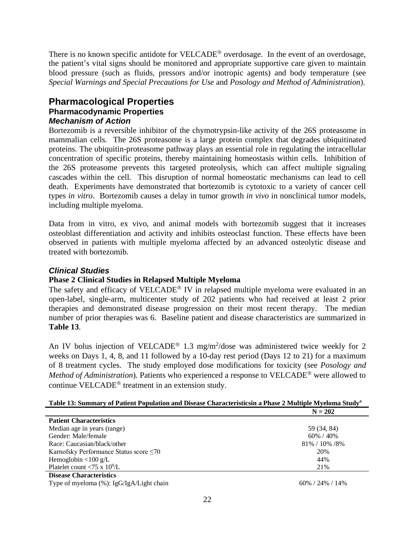There is no known specific antidote for VELCADE<sup>®</sup> overdosage. In the event of an overdosage, the patient's vital signs should be monitored and appropriate supportive care given to maintain blood pressure (such as fluids, pressors and/or inotropic agents) and body temperature (see *Special Warnings and Special Precautions for Use* and *Posology and Method of Administration*).

## **Pharmacological Properties Pharmacodynamic Properties** *Mechanism of Action*

Bortezomib is a reversible inhibitor of the chymotrypsin-like activity of the 26S proteasome in mammalian cells. The 26S proteasome is a large protein complex that degrades ubiquitinated proteins. The ubiquitin-proteasome pathway plays an essential role in regulating the intracellular concentration of specific proteins, thereby maintaining homeostasis within cells. Inhibition of the 26S proteasome prevents this targeted proteolysis, which can affect multiple signaling cascades within the cell. This disruption of normal homeostatic mechanisms can lead to cell death. Experiments have demonstrated that bortezomib is cytotoxic to a variety of cancer cell types *in vitro*. Bortezomib causes a delay in tumor growth *in vivo* in nonclinical tumor models, including multiple myeloma.

Data from in vitro, ex vivo, and animal models with bortezomib suggest that it increases osteoblast differentiation and activity and inhibits osteoclast function. These effects have been observed in patients with multiple myeloma affected by an advanced osteolytic disease and treated with bortezomib.

## *Clinical Studies*

### **Phase 2 Clinical Studies in Relapsed Multiple Myeloma**

The safety and efficacy of VELCADE<sup>®</sup> IV in relapsed multiple myeloma were evaluated in an open-label, single-arm, multicenter study of 202 patients who had received at least 2 prior therapies and demonstrated disease progression on their most recent therapy. The median number of prior therapies was 6. Baseline patient and disease characteristics are summarized in **Table 13**.

An IV bolus injection of VELCADE<sup>®</sup> 1.3 mg/m<sup>2</sup>/dose was administered twice weekly for 2 weeks on Days 1, 4, 8, and 11 followed by a 10-day rest period (Days 12 to 21) for a maximum of 8 treatment cycles. The study employed dose modifications for toxicity (see *Posology and Method of Administration*). Patients who experienced a response to VELCADE<sup>®</sup> were allowed to continue  $VELCADE^{\circledast}$  treatment in an extension study.

|                                                                                                                                                                                                                                                                                                                   | $N = 202$         |
|-------------------------------------------------------------------------------------------------------------------------------------------------------------------------------------------------------------------------------------------------------------------------------------------------------------------|-------------------|
| <b>Patient Characteristics</b>                                                                                                                                                                                                                                                                                    |                   |
| Median age in years (range)                                                                                                                                                                                                                                                                                       | 59 (34, 84)       |
| Gender: Male/female                                                                                                                                                                                                                                                                                               | 60% / 40%         |
| Race: Caucasian/black/other                                                                                                                                                                                                                                                                                       | 81% / 10% / 8%    |
| Karnofsky Performance Status score $\leq 70$                                                                                                                                                                                                                                                                      | 20%               |
| Hemoglobin $\langle 100 \text{ g/L} \rangle$                                                                                                                                                                                                                                                                      | 44%               |
| Platelet count <75 x $10^9$ /L                                                                                                                                                                                                                                                                                    | 21%               |
| <b>Disease Characteristics</b>                                                                                                                                                                                                                                                                                    |                   |
| $\mathbf{T}$ and $\mathbf{C}$ and $\mathbf{I}$ and $\mathbf{C}$ ( $\mathbf{C}$ ). <b>T</b> and $\mathbf{C}$ ( $\mathbf{T}$ and $\mathbf{A}$ if $\mathbf{T}$ and $\mathbf{I}$ and $\mathbf{I}$ and $\mathbf{I}$ and $\mathbf{I}$ and $\mathbf{I}$ and $\mathbf{I}$ and $\mathbf{I}$ and $\mathbf{I}$ and $\mathbf$ | $(0) / (0)$ $(0)$ |

#### **Table 13: Summary of Patient Population and Disease Characteristicsin a Phase 2 Multiple Myeloma Studya**

Type of myeloma (%): IgG/IgA/Light chain 60% / 24% / 14%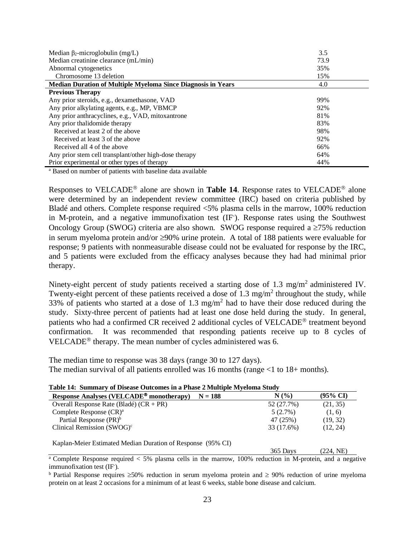| Median $\beta_2$ -microglobulin (mg/L)                              | 3.5  |
|---------------------------------------------------------------------|------|
| Median creatinine clearance (mL/min)                                | 73.9 |
| Abnormal cytogenetics                                               | 35%  |
| Chromosome 13 deletion                                              | 15%  |
| <b>Median Duration of Multiple Myeloma Since Diagnosis in Years</b> | 4.0  |
| <b>Previous Therapy</b>                                             |      |
| Any prior steroids, e.g., dexamethasone, VAD                        | 99%  |
| Any prior alkylating agents, e.g., MP, VBMCP                        | 92%  |
| Any prior anthracyclines, e.g., VAD, mitoxantrone                   | 81%  |
| Any prior thalidomide therapy                                       | 83%  |
| Received at least 2 of the above                                    | 98%  |
| Received at least 3 of the above                                    | 92%  |
| Received all 4 of the above                                         | 66%  |
| Any prior stem cell transplant/other high-dose therapy              | 64%  |
| Prior experimental or other types of therapy                        | 44%  |

<sup>a</sup> Based on number of patients with baseline data available

Responses to VELCADE<sup>®</sup> alone are shown in **Table 14**. Response rates to VELCADE<sup>®</sup> alone were determined by an independent review committee (IRC) based on criteria published by Bladé and others. Complete response required <5% plasma cells in the marrow, 100% reduction in M-protein, and a negative immunofixation test (IF- ). Response rates using the Southwest Oncology Group (SWOG) criteria are also shown. SWOG response required a  $\geq 75\%$  reduction in serum myeloma protein and/or ≥90% urine protein. A total of 188 patients were evaluable for response; 9 patients with nonmeasurable disease could not be evaluated for response by the IRC, and 5 patients were excluded from the efficacy analyses because they had had minimal prior therapy.

Ninety-eight percent of study patients received a starting dose of 1.3 mg/m<sup>2</sup> administered IV. Twenty-eight percent of these patients received a dose of 1.3 mg/m<sup>2</sup> throughout the study, while 33% of patients who started at a dose of 1.3 mg/m<sup>2</sup> had to have their dose reduced during the study. Sixty-three percent of patients had at least one dose held during the study. In general, patients who had a confirmed CR received 2 additional cycles of VELCADE<sup>®</sup> treatment beyond confirmation. It was recommended that responding patients receive up to 8 cycles of VELCADE<sup>®</sup> therapy. The mean number of cycles administered was 6.

The median time to response was 38 days (range 30 to 127 days). The median survival of all patients enrolled was 16 months (range  $\leq 1$  to 18+ months).

| Table 14. Summary of Disease Outcomes in a Filase 2 Multiple Myeroma Study |           |            |                     |  |
|----------------------------------------------------------------------------|-----------|------------|---------------------|--|
| Response Analyses (VELCADE <sup>®</sup> monotherapy)                       | $N = 188$ | N(%        | $(95\% \text{ CI})$ |  |
| Overall Response Rate (Bladé) $(CR + PR)$                                  |           | 52 (27.7%) | (21, 35)            |  |
| Complete Response $(CR)^a$                                                 |           | $5(2.7\%)$ | (1, 6)              |  |
| Partial Response (PR) <sup>b</sup>                                         |           | 47 (25%)   | (19, 32)            |  |
| Clinical Remission $(SWOG)^c$                                              |           | 33 (17.6%) | (12, 24)            |  |
|                                                                            |           |            |                     |  |

**Table 14: Summary of Disease Outcomes in a Phase 2 Multiple Myeloma Study**

Kaplan-Meier Estimated Median Duration of Response (95% CI)

365 Days (224, NE)

 $\frac{a}{a}$  Complete Response required  $\lt 5\%$  plasma cells in the marrow, 100% reduction in M-protein, and a negative immunofixation test (IF).

<sup>b</sup> Partial Response requires ≥50% reduction in serum myeloma protein and ≥ 90% reduction of urine myeloma protein on at least 2 occasions for a minimum of at least 6 weeks, stable bone disease and calcium.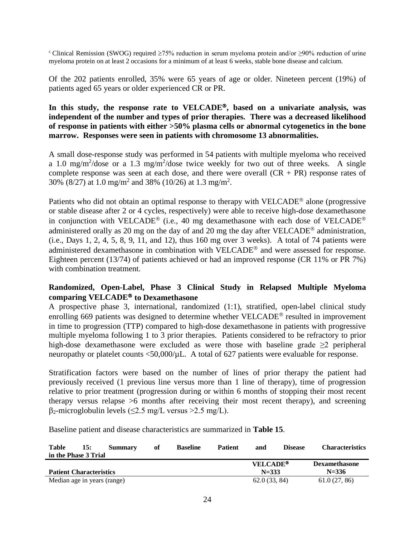c Clinical Remission (SWOG) required ≥75% reduction in serum myeloma protein and/or ≥90% reduction of urine myeloma protein on at least 2 occasions for a minimum of at least 6 weeks, stable bone disease and calcium.

Of the 202 patients enrolled, 35% were 65 years of age or older. Nineteen percent (19%) of patients aged 65 years or older experienced CR or PR.

### **In this study, the response rate to VELCADE, based on a univariate analysis, was independent of the number and types of prior therapies. There was a decreased likelihood of response in patients with either >50% plasma cells or abnormal cytogenetics in the bone marrow. Responses were seen in patients with chromosome 13 abnormalities.**

A small dose-response study was performed in 54 patients with multiple myeloma who received a 1.0 mg/m<sup>2</sup>/dose or a 1.3 mg/m<sup>2</sup>/dose twice weekly for two out of three weeks. A single complete response was seen at each dose, and there were overall  $(CR + PR)$  response rates of 30% (8/27) at 1.0 mg/m<sup>2</sup> and 38% (10/26) at 1.3 mg/m<sup>2</sup>.

Patients who did not obtain an optimal response to therapy with VELCADE<sup>®</sup> alone (progressive or stable disease after 2 or 4 cycles, respectively) were able to receive high-dose dexamethasone in conjunction with VELCADE<sup>®</sup> (i.e., 40 mg dexamethasone with each dose of VELCADE<sup>®</sup> administered orally as 20 mg on the day of and 20 mg the day after VELCADE<sup>®</sup> administration, (i.e., Days 1, 2, 4, 5, 8, 9, 11, and 12), thus 160 mg over 3 weeks). A total of 74 patients were administered dexamethasone in combination with VELCADE<sup>®</sup> and were assessed for response. Eighteen percent (13/74) of patients achieved or had an improved response (CR 11% or PR 7%) with combination treatment.

## **Randomized, Open-Label, Phase 3 Clinical Study in Relapsed Multiple Myeloma comparing VELCADE to Dexamethasone**

A prospective phase 3, international, randomized (1:1), stratified, open-label clinical study enrolling 669 patients was designed to determine whether VELCADE<sup>®</sup> resulted in improvement in time to progression (TTP) compared to high-dose dexamethasone in patients with progressive multiple myeloma following 1 to 3 prior therapies. Patients considered to be refractory to prior high-dose dexamethasone were excluded as were those with baseline grade ≥2 peripheral neuropathy or platelet counts <50,000/ $\mu$ L. A total of 627 patients were evaluable for response.

Stratification factors were based on the number of lines of prior therapy the patient had previously received (1 previous line versus more than 1 line of therapy), time of progression relative to prior treatment (progression during or within 6 months of stopping their most recent therapy versus relapse >6 months after receiving their most recent therapy), and screening  $\beta_2$ -microglobulin levels (<2.5 mg/L versus >2.5 mg/L).

Baseline patient and disease characteristics are summarized in **Table 15**.

| Table                          | 15: | Summary | оf | <b>Baseline</b> | <b>Patient</b> | and                        | <b>Disease</b> | <b>Characteristics</b> |
|--------------------------------|-----|---------|----|-----------------|----------------|----------------------------|----------------|------------------------|
| in the Phase 3 Trial           |     |         |    |                 |                |                            |                |                        |
|                                |     |         |    |                 |                | <b>VELCADE<sup>®</sup></b> |                | <b>Dexamethasone</b>   |
| <b>Patient Characteristics</b> |     |         |    |                 |                | $N = 333$                  |                | $N = 336$              |
| Median age in years (range)    |     |         |    |                 |                | 62.0(33, 84)               |                | 61.0(27, 86)           |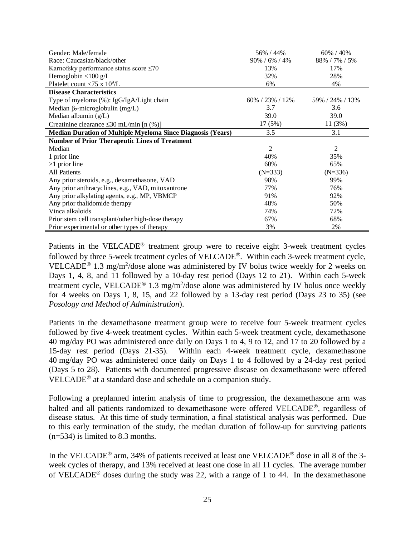| Gender: Male/female                                                | 56% / 44%            | 60% / 40%       |
|--------------------------------------------------------------------|----------------------|-----------------|
| Race: Caucasian/black/other                                        | $90\% / 6\% / 4\%$   | 88% / 7% / 5%   |
| Karnofsky performance status score $\leq 70$                       | 13%                  | 17%             |
| Hemoglobin $\langle 100 \text{ g/L} \rangle$                       | 32%                  | 28%             |
| Platelet count <75 x $10^9$ /L                                     | 6%                   | 4%              |
| <b>Disease Characteristics</b>                                     |                      |                 |
| Type of myeloma (%): IgG/IgA/Light chain                           | $60\%$ / 23\% / 12\% | 59% / 24% / 13% |
| Median $\beta_2$ -microglobulin (mg/L)                             | 3.7                  | 3.6             |
| Median albumin $(g/L)$                                             | 39.0                 | 39.0            |
| Creatinine clearance $\leq 30$ mL/min [n (%)]                      | 17(5%)               | 11(3%)          |
| <b>Median Duration of Multiple Myeloma Since Diagnosis (Years)</b> | 3.5                  | 3.1             |
| <b>Number of Prior Therapeutic Lines of Treatment</b>              |                      |                 |
| Median                                                             | 2                    | 2               |
| 1 prior line                                                       | 40%                  | 35%             |
| $>1$ prior line                                                    | 60%                  | 65%             |
| <b>All Patients</b>                                                | $(N=333)$            | $(N=336)$       |
| Any prior steroids, e.g., dexamethasone, VAD                       | 98%                  | 99%             |
| Any prior anthracyclines, e.g., VAD, mitoxantrone                  | 77%                  | 76%             |
| Any prior alkylating agents, e.g., MP, VBMCP                       | 91%                  | 92%             |
| Any prior thalidomide therapy                                      | 48%                  | 50%             |
| Vinca alkaloids                                                    | 74%                  | 72%             |
| Prior stem cell transplant/other high-dose therapy                 | 67%                  | 68%             |
| Prior experimental or other types of therapy                       | 3%                   | 2%              |

Patients in the VELCADE® treatment group were to receive eight 3-week treatment cycles followed by three 5-week treatment cycles of VELCADE<sup>®</sup>. Within each 3-week treatment cycle, VELCADE<sup>®</sup> 1.3 mg/m<sup>2</sup>/dose alone was administered by IV bolus twice weekly for 2 weeks on Days 1, 4, 8, and 11 followed by a 10-day rest period (Days 12 to 21). Within each 5-week treatment cycle, VELCADE<sup>®</sup> 1.3 mg/m<sup>2</sup>/dose alone was administered by IV bolus once weekly for 4 weeks on Days 1, 8, 15, and 22 followed by a 13-day rest period (Days 23 to 35) (see *Posology and Method of Administration*).

Patients in the dexamethasone treatment group were to receive four 5-week treatment cycles followed by five 4-week treatment cycles. Within each 5-week treatment cycle, dexamethasone 40 mg/day PO was administered once daily on Days 1 to 4, 9 to 12, and 17 to 20 followed by a 15-day rest period (Days 21-35). Within each 4-week treatment cycle, dexamethasone 40 mg/day PO was administered once daily on Days 1 to 4 followed by a 24-day rest period (Days 5 to 28). Patients with documented progressive disease on dexamethasone were offered  $VELCADE<sup>®</sup>$  at a standard dose and schedule on a companion study.

Following a preplanned interim analysis of time to progression, the dexamethasone arm was halted and all patients randomized to dexamethasone were offered VELCADE®, regardless of disease status. At this time of study termination, a final statistical analysis was performed. Due to this early termination of the study, the median duration of follow-up for surviving patients (n=534) is limited to 8.3 months.

In the VELCADE<sup>®</sup> arm, 34% of patients received at least one VELCADE<sup>®</sup> dose in all 8 of the 3week cycles of therapy, and 13% received at least one dose in all 11 cycles. The average number of VELCADE<sup>®</sup> doses during the study was 22, with a range of 1 to 44. In the dexamethasone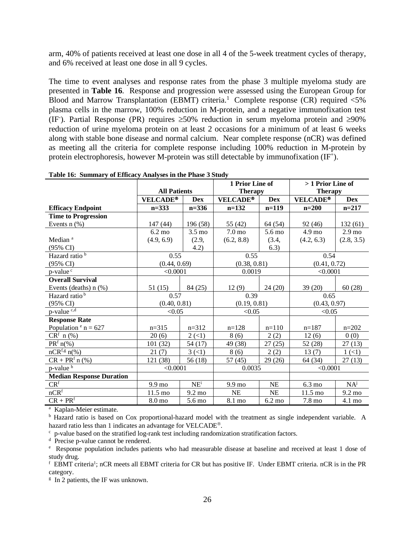arm, 40% of patients received at least one dose in all 4 of the 5-week treatment cycles of therapy, and 6% received at least one dose in all 9 cycles.

The time to event analyses and response rates from the phase 3 multiple myeloma study are presented in **Table 16**. Response and progression were assessed using the European Group for Blood and Marrow Transplantation (EBMT) criteria.<sup>1</sup> Complete response (CR) required <5% plasma cells in the marrow, 100% reduction in M-protein, and a negative immunofixation test (IF). Partial Response (PR) requires  $\geq 50\%$  reduction in serum myeloma protein and  $\geq 90\%$ reduction of urine myeloma protein on at least 2 occasions for a minimum of at least 6 weeks along with stable bone disease and normal calcium. Near complete response (nCR) was defined as meeting all the criteria for complete response including 100% reduction in M-protein by protein electrophoresis, however M-protein was still detectable by immunofixation (IF<sup>+</sup>).

|                                     |                     | 1 Prior Line of           |                    |                  | > 1 Prior Line of |                   |  |
|-------------------------------------|---------------------|---------------------------|--------------------|------------------|-------------------|-------------------|--|
|                                     | <b>All Patients</b> |                           |                    | <b>Therapy</b>   |                   | <b>Therapy</b>    |  |
|                                     | <b>VELCADE®</b>     | <b>Dex</b>                | <b>VELCADE®</b>    | <b>Dex</b>       | <b>VELCADE®</b>   | <b>Dex</b>        |  |
| <b>Efficacy Endpoint</b>            | $n = 333$           | $n = 336$                 | $n=132$            | $n=119$          | $n=200$           | $n=217$           |  |
| <b>Time to Progression</b>          |                     |                           |                    |                  |                   |                   |  |
| Events $n$ $(\%)$                   | 147(44)             | 196 (58)                  | 55 (42)            | 64 (54)          | 92(46)            | 132(61)           |  |
|                                     | $6.2 \text{ mo}$    | $3.5 \text{ mo}$          | 7.0 <sub>mo</sub>  | 5.6 mo           | $4.9 \text{ mo}$  | 2.9 <sub>mo</sub> |  |
| Median <sup>a</sup>                 | (4.9, 6.9)          | (2.9,                     | (6.2, 8.8)         | (3.4,            | (4.2, 6.3)        | (2.8, 3.5)        |  |
| $(95\% \text{ CI})$                 |                     | 4.2)                      |                    | 6.3)             |                   |                   |  |
| Hazard ratio <sup>b</sup>           | 0.55                |                           | 0.55               |                  | 0.54              |                   |  |
| $(95\% \text{ CI})$                 | (0.44, 0.69)        |                           | (0.38, 0.81)       |                  | (0.41, 0.72)      |                   |  |
| p-value <sup>c</sup>                | < 0.0001            |                           | 0.0019             |                  | < 0.0001          |                   |  |
| <b>Overall Survival</b>             |                     |                           |                    |                  |                   |                   |  |
| Events (deaths) $n$ (%)             | 51(15)              | 84 (25)                   | 12(9)              | 24(20)           | 39(20)            | 60(28)            |  |
| Hazard ratio <sup>b</sup>           | 0.57                |                           | 0.39               |                  | 0.65              |                   |  |
| $(95\% \text{ CI})$                 | (0.40, 0.81)        |                           | (0.19, 0.81)       |                  | (0.43, 0.97)      |                   |  |
| $p$ -value $\overline{c,d}$         | < 0.05              |                           | < 0.05             |                  | < 0.05            |                   |  |
| <b>Response Rate</b>                |                     |                           |                    |                  |                   |                   |  |
| Population $e$ <sup>e</sup> n = 627 | $n=315$             | $n=312$                   | $n=128$            | $n=110$          | $n=187$           | $n=202$           |  |
| $CRf$ n $(\frac{\%}{\%})$           | 20(6)               | $2 \left( \leq 1 \right)$ | 8(6)               | 2(2)             | 12(6)             | 0(0)              |  |
| $PRf n(\%)$                         | 101 (32)            | 54 (17)                   | 49 (38)            | 27(25)           | 52(28)            | 27(13)            |  |
| $nCR^{f,g} n$ (%)                   | 21(7)               | 3(1)                      | 8(6)               | 2(2)             | 13(7)             | $1 (\lt 1)$       |  |
| $CR + PRf n (\%)$                   | 121 (38)            | 56(18)                    | 57 (45)            | 29(26)           | 64 (34)           | 27(13)            |  |
| p-value <sup>h</sup>                | < 0.0001            |                           | 0.0035             |                  | < 0.0001          |                   |  |
| <b>Median Response Duration</b>     |                     |                           |                    |                  |                   |                   |  |
| CR <sup>f</sup>                     | $9.9 \text{ mo}$    | NE <sup>i</sup>           | $9.9 \text{ mo}$   | <b>NE</b>        | $6.3 \text{ mo}$  | NA <sup>j</sup>   |  |
| nCR <sup>f</sup>                    | $11.5 \text{ mo}$   | $9.2 \text{ mo}$          | <b>NE</b>          | <b>NE</b>        | $11.5 \text{ mo}$ | $9.2 \text{ mo}$  |  |
| $\text{CR}+\text{PR}^\mathrm{f}$    | 8.0 <sub>mo</sub>   | $5.6\,\mathrm{mo}$        | $8.1\ \mathrm{mo}$ | $6.2 \text{ mo}$ | 7.8 mo            | 4.1 mo            |  |

**Table 16: Summary of Efficacy Analyses in the Phase 3 Study**

a Kaplan-Meier estimate.

<sup>b</sup> Hazard ratio is based on Cox proportional-hazard model with the treatment as single independent variable. A hazard ratio less than 1 indicates an advantage for VELCADE<sup>®</sup>.

c p-value based on the stratified log-rank test including randomization stratification factors.

d Precise p-value cannot be rendered.

e Response population includes patients who had measurable disease at baseline and received at least 1 dose of study drug.

<sup>f</sup> EBMT criteria<sup>1</sup>; nCR meets all EBMT criteria for CR but has positive IF. Under EBMT criteria. nCR is in the PR category.

g In 2 patients, the IF was unknown.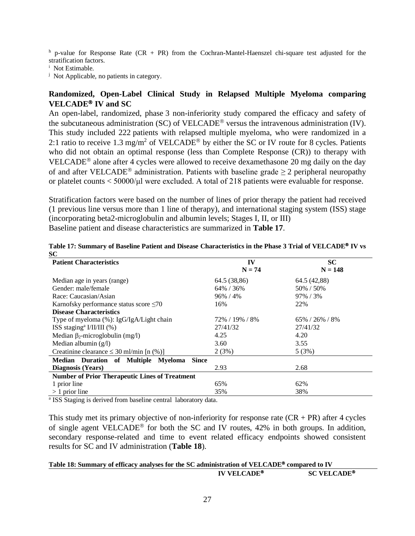$h$  p-value for Response Rate (CR + PR) from the Cochran-Mantel-Haenszel chi-square test adjusted for the stratification factors.

i Not Estimable.

<sup>j</sup> Not Applicable, no patients in category.

## **Randomized, Open-Label Clinical Study in Relapsed Multiple Myeloma comparing VELCADE<sup>®</sup> <b>IV** and SC

An open-label, randomized, phase 3 non-inferiority study compared the efficacy and safety of the subcutaneous administration (SC) of VELCADE<sup>®</sup> versus the intravenous administration (IV). This study included 222 patients with relapsed multiple myeloma, who were randomized in a 2:1 ratio to receive 1.3 mg/m<sup>2</sup> of VELCADE<sup>®</sup> by either the SC or IV route for 8 cycles. Patients who did not obtain an optimal response (less than Complete Response (CR)) to therapy with VELCADE<sup>®</sup> alone after 4 cycles were allowed to receive dexamethasone 20 mg daily on the day of and after VELCADE<sup>®</sup> administration. Patients with baseline grade  $\geq 2$  peripheral neuropathy or platelet counts < 50000/μl were excluded. A total of 218 patients were evaluable for response.

Stratification factors were based on the number of lines of prior therapy the patient had received (1 previous line versus more than 1 line of therapy), and international staging system (ISS) stage (incorporating beta2-microglobulin and albumin levels; Stages I, II, or III) Baseline patient and disease characteristics are summarized in **Table 17**.

| ◡◡<br><b>Patient Characteristics</b>                  | IV             | <b>SC</b>           |
|-------------------------------------------------------|----------------|---------------------|
|                                                       | $N = 74$       | $N = 148$           |
| Median age in years (range)                           | 64.5 (38,86)   | 64.5 (42,88)        |
| Gender: male/female                                   | 64% / 36%      | 50% / 50%           |
| Race: Caucasian/Asian                                 | $96\% / 4\%$   | 97% / 3%            |
| Karnofsky performance status score $\leq 70$          | 16%            | 22%                 |
| <b>Disease Characteristics</b>                        |                |                     |
| Type of myeloma (%): IgG/IgA/Light chain              | 72% / 19% / 8% | $65\% / 26\% / 8\%$ |
| ISS staging <sup>a</sup> I/II/III $(\%)$              | 27/41/32       | 27/41/32            |
| Median $\beta_2$ -microglobulin (mg/l)                | 4.25           | 4.20                |
| Median albumin $(g/l)$                                | 3.60           | 3.55                |
| Creatinine clearance $\leq$ 30 ml/min [n (%)]         | 2(3%)          | 5(3%)               |
| Median Duration of Multiple Myeloma<br><b>Since</b>   |                |                     |
| Diagnosis (Years)                                     | 2.93           | 2.68                |
| <b>Number of Prior Therapeutic Lines of Treatment</b> |                |                     |
| 1 prior line                                          | 65%            | 62%                 |
| $> 1$ prior line                                      | 35%            | 38%                 |

**Table 17: Summary of Baseline Patient and Disease Characteristics in the Phase 3 Trial of VELCADE IV vs**   $\mathbf{S}$ 

<sup>a</sup> ISS Staging is derived from baseline central laboratory data.

This study met its primary objective of non-inferiority for response rate  $(CR + PR)$  after 4 cycles of single agent VELCADE<sup>®</sup> for both the SC and IV routes,  $42\%$  in both groups. In addition, secondary response-related and time to event related efficacy endpoints showed consistent results for SC and IV administration (**Table 18**).

| Table 18: Summary of efficacy analyses for the SC administration of VELCADE <sup>®</sup> compared to IV |                    |  |  |
|---------------------------------------------------------------------------------------------------------|--------------------|--|--|
| IV VELCADE <sup>®</sup>                                                                                 | <b>SC VELCADE®</b> |  |  |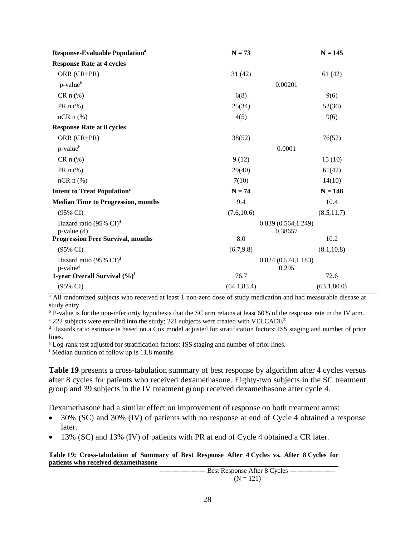| <b>Response-Evaluable Population</b> <sup>a</sup>          | $N = 73$                       | $N = 145$    |
|------------------------------------------------------------|--------------------------------|--------------|
| <b>Response Rate at 4 cycles</b>                           |                                |              |
| ORR (CR+PR)                                                | 31(42)                         | 61(42)       |
| p-value <sup>b</sup>                                       | 0.00201                        |              |
| $CRn(\%)$                                                  | 6(8)                           | 9(6)         |
| PR $n$ (%)                                                 | 25(34)                         | 52(36)       |
| $nCR \n  n$ (%)                                            | 4(5)                           | 9(6)         |
| <b>Response Rate at 8 cycles</b>                           |                                |              |
| ORR (CR+PR)                                                | 38(52)                         | 76(52)       |
| p-value <sup>b</sup>                                       | 0.0001                         |              |
| $CRn (\%)$                                                 | 9(12)                          | 15(10)       |
| PR $n$ (%)                                                 | 29(40)                         | 61(42)       |
| $nCR \n  n$ (%)                                            | 7(10)                          | 14(10)       |
| <b>Intent to Treat Population</b> <sup>c</sup>             | $N = 74$                       | $N = 148$    |
| <b>Median Time to Progression, months</b>                  | 9.4                            | 10.4         |
| $(95\% \text{ CI})$                                        | (7.6, 10.6)                    | (8.5, 11.7)  |
| Hazard ratio (95% $CI$ ) <sup>d</sup><br>$p$ -value $(d)$  | 0.839(0.564, 1.249)<br>0.38657 |              |
| <b>Progression Free Survival, months</b>                   | 8.0                            | 10.2         |
| $(95\% \text{ CI})$                                        | (6.7, 9.8)                     | (8.1, 10.8)  |
| Hazard ratio (95% CI) <sup>d</sup><br>p-value <sup>e</sup> | 0.824(0.574, 1.183)<br>0.295   |              |
| 1-year Overall Survival $(\%)^f$                           | 76.7                           | 72.6         |
| (95% CI)                                                   | (64.1, 85.4)                   | (63.1, 80.0) |

<sup>a</sup> All randomized subjects who received at least 1 non-zero dose of study medication and had measurable disease at study entry

<sup>b</sup> P-value is for the non-inferiority hypothesis that the SC arm retains at least 60% of the response rate in the IV arm. <sup>c</sup> 222 subjects were enrolled into the study; 221 subjects were treated with VELCADE<sup>®</sup>

<sup>d</sup> Hazards ratio estimate is based on a Cox model adjusted for stratification factors: ISS staging and number of prior lines.

<sup>e</sup> Log-rank test adjusted for stratification factors: ISS staging and number of prior lines.

<sup>f</sup> Median duration of follow up is 11.8 months

**Table 19** presents a cross-tabulation summary of best response by algorithm after 4 cycles versus after 8 cycles for patients who received dexamethasone. Eighty-two subjects in the SC treatment group and 39 subjects in the IV treatment group received dexamethasone after cycle 4.

Dexamethasone had a similar effect on improvement of response on both treatment arms:

- 30% (SC) and 30% (IV) of patients with no response at end of Cycle 4 obtained a response later.
- 13% (SC) and 13% (IV) of patients with PR at end of Cycle 4 obtained a CR later.

#### **Table 19: Cross-tabulation of Summary of Best Response After 4 Cycles vs. After 8 Cycles for patients who received dexamethasone**

--------------------- Best Response After 8 Cycles ---------------------- $(N = 121)$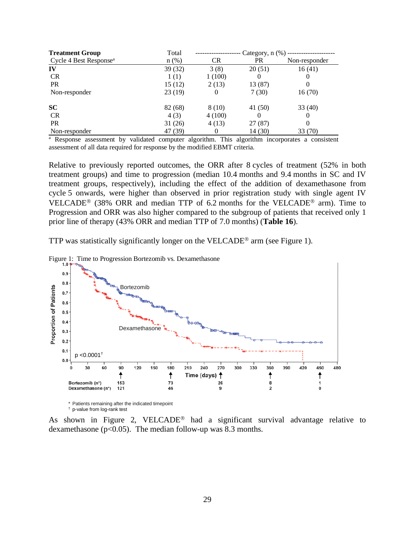| <b>Treatment Group</b>             | Total   | Category, $n$ $(\%)$ |           |               |  |  |
|------------------------------------|---------|----------------------|-----------|---------------|--|--|
| Cycle 4 Best Response <sup>a</sup> | $n$ (%) | <b>CR</b>            | <b>PR</b> | Non-responder |  |  |
| IV                                 | 39 (32) | 3(8)                 | 20(51)    | 16(41)        |  |  |
| <b>CR</b>                          | 1(1)    | 1(100)               | $\theta$  |               |  |  |
| <b>PR</b>                          | 15(12)  | 2(13)                | 13 (87)   |               |  |  |
| Non-responder                      | 23 (19) | $\theta$             | 7(30)     | 16(70)        |  |  |
| <b>SC</b>                          | 82 (68) | 8 (10)               | 41 (50)   | 33 (40)       |  |  |
| <b>CR</b>                          | 4(3)    | 4(100)               | 0         |               |  |  |
| <b>PR</b>                          | 31(26)  | 4(13)                | 27 (87)   |               |  |  |
| Non-responder                      | 47 (39) | O                    | 14 (30)   | 33 (70)       |  |  |

<sup>a</sup> Response assessment by validated computer algorithm. This algorithm incorporates a consistent assessment of all data required for response by the modified EBMT criteria.

Relative to previously reported outcomes, the ORR after 8 cycles of treatment (52% in both treatment groups) and time to progression (median 10.4 months and 9.4 months in SC and IV treatment groups, respectively), including the effect of the addition of dexamethasone from cycle 5 onwards, were higher than observed in prior registration study with single agent IV VELCADE<sup>®</sup> (38% ORR and median TTP of 6.2 months for the VELCADE<sup>®</sup> arm). Time to Progression and ORR was also higher compared to the subgroup of patients that received only 1 prior line of therapy (43% ORR and median TTP of 7.0 months) (**Table 16**).

TTP was statistically significantly longer on the VELCADE<sup>®</sup> arm (see Figure 1).



Figure 1: Time to Progression Bortezomib vs. Dexamethasone

\* Patients remaining after the indicated timepoint † p-value from log-rank test

As shown in Figure 2, VELCADE<sup>®</sup> had a significant survival advantage relative to dexamethasone ( $p<0.05$ ). The median follow-up was 8.3 months.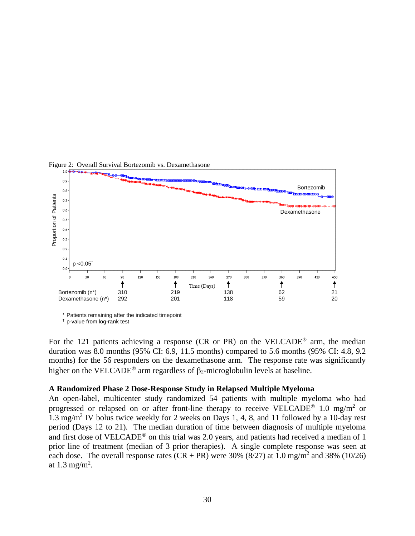

Figure 2: Overall Survival Bortezomib vs. Dexamethasone

† p-value from log-rank test

For the 121 patients achieving a response (CR or PR) on the VELCADE<sup>®</sup> arm, the median duration was 8.0 months (95% CI: 6.9, 11.5 months) compared to 5.6 months (95% CI: 4.8, 9.2 months) for the 56 responders on the dexamethasone arm. The response rate was significantly higher on the VELCADE<sup>®</sup> arm regardless of  $\beta_2$ -microglobulin levels at baseline.

#### **A Randomized Phase 2 Dose-Response Study in Relapsed Multiple Myeloma**

An open-label, multicenter study randomized 54 patients with multiple myeloma who had progressed or relapsed on or after front-line therapy to receive VELCADE<sup>®</sup> 1.0 mg/m<sup>2</sup> or 1.3 mg/m2 IV bolus twice weekly for 2 weeks on Days 1, 4, 8, and 11 followed by a 10-day rest period (Days 12 to 21). The median duration of time between diagnosis of multiple myeloma and first dose of VELCADE<sup>®</sup> on this trial was 2.0 years, and patients had received a median of 1 prior line of treatment (median of 3 prior therapies). A single complete response was seen at each dose. The overall response rates  $(CR + PR)$  were 30% (8/27) at 1.0 mg/m<sup>2</sup> and 38% (10/26) at 1.3 mg/m<sup>2</sup>.

<sup>\*</sup> Patients remaining after the indicated timepoint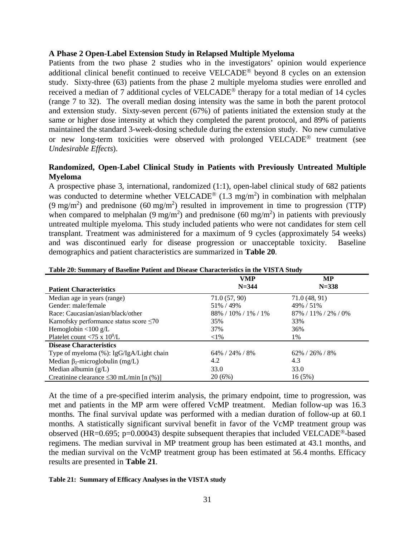#### **A Phase 2 Open-Label Extension Study in Relapsed Multiple Myeloma**

Patients from the two phase 2 studies who in the investigators' opinion would experience additional clinical benefit continued to receive VELCADE<sup>®</sup> beyond 8 cycles on an extension study. Sixty-three (63) patients from the phase 2 multiple myeloma studies were enrolled and received a median of 7 additional cycles of VELCADE<sup>®</sup> therapy for a total median of 14 cycles (range 7 to 32). The overall median dosing intensity was the same in both the parent protocol and extension study. Sixty-seven percent (67%) of patients initiated the extension study at the same or higher dose intensity at which they completed the parent protocol, and 89% of patients maintained the standard 3-week-dosing schedule during the extension study. No new cumulative or new long-term toxicities were observed with prolonged VELCADE<sup>®</sup> treatment (see *Undesirable Effects*).

## **Randomized, Open-Label Clinical Study in Patients with Previously Untreated Multiple Myeloma**

A prospective phase 3, international, randomized (1:1), open-label clinical study of 682 patients was conducted to determine whether VELCADE<sup>®</sup> (1.3 mg/m<sup>2</sup>) in combination with melphalan (9 mg/m<sup>2</sup>) and prednisone (60 mg/m<sup>2</sup>) resulted in improvement in time to progression (TTP) when compared to melphalan (9 mg/m<sup>2</sup>) and prednisone (60 mg/m<sup>2</sup>) in patients with previously untreated multiple myeloma. This study included patients who were not candidates for stem cell transplant. Treatment was administered for a maximum of 9 cycles (approximately 54 weeks) and was discontinued early for disease progression or unacceptable toxicity. Baseline demographics and patient characteristics are summarized in **Table 20**.

|                                               | <b>VMP</b>                | <b>MP</b>                 |
|-----------------------------------------------|---------------------------|---------------------------|
| <b>Patient Characteristics</b>                | $N = 344$                 | $N = 338$                 |
| Median age in years (range)                   | 71.0 (57, 90)             | 71.0 (48, 91)             |
| Gender: male/female                           | 51\% / 49\%               | 49% / 51%                 |
| Race: Caucasian/asian/black/other             | $88\% / 10\% / 1\% / 1\%$ | $87\% / 11\% / 2\% / 0\%$ |
| Karnofsky performance status score $\leq 70$  | 35%                       | 33%                       |
| Hemoglobin $<$ 100 g/L                        | 37%                       | 36%                       |
| Platelet count <75 x $10^9$ /L                | ${<}1\%$                  | 1%                        |
| <b>Disease Characteristics</b>                |                           |                           |
| Type of myeloma (%): IgG/IgA/Light chain      | $64\%$ / 24\% / 8\%       | $62\% / 26\% / 8\%$       |
| Median $\beta_2$ -microglobulin (mg/L)        | 4.2                       | 4.3                       |
| Median albumin $(g/L)$                        | 33.0                      | 33.0                      |
| Creatinine clearance $\leq 30$ mL/min [n (%)] | 20(6%)                    | 16(5%)                    |

#### **Table 20: Summary of Baseline Patient and Disease Characteristics in the VISTA Study**

At the time of a pre-specified interim analysis, the primary endpoint, time to progression, was met and patients in the MP arm were offered VcMP treatment. Median follow-up was 16.3 months. The final survival update was performed with a median duration of follow-up at 60.1 months. A statistically significant survival benefit in favor of the VcMP treatment group was observed (HR=0.695; p=0.00043) despite subsequent therapies that included VELCADE<sup>®</sup>-based regimens. The median survival in MP treatment group has been estimated at 43.1 months, and the median survival on the VcMP treatment group has been estimated at 56.4 months. Efficacy results are presented in **Table 21**.

#### **Table 21: Summary of Efficacy Analyses in the VISTA study**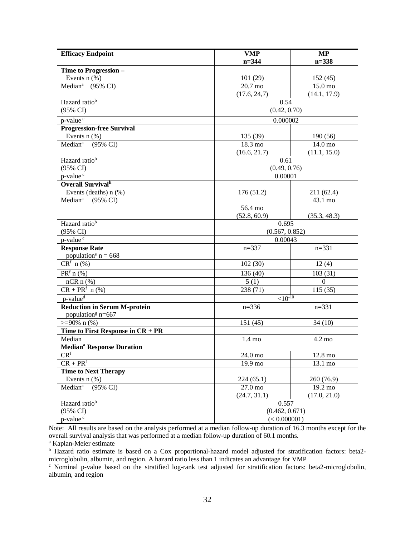| <b>Efficacy Endpoint</b>                                       | <b>VMP</b><br>$n = 344$ | MP               |  |  |  |
|----------------------------------------------------------------|-------------------------|------------------|--|--|--|
|                                                                |                         | $n = 338$        |  |  |  |
| Time to Progression -<br>Events $n$ (%)                        | 101(29)                 | 152(45)          |  |  |  |
| Median <sup>a</sup> (95% CI)                                   | 20.7 mo                 | 15.0 mo          |  |  |  |
|                                                                | (17.6, 24.7)            | (14.1, 17.9)     |  |  |  |
| Hazard ratio <sup>b</sup>                                      | 0.54                    |                  |  |  |  |
| (95% CI)                                                       | (0.42, 0.70)            |                  |  |  |  |
| $p$ -value $\overline{c}$                                      | 0.000002                |                  |  |  |  |
| <b>Progression-free Survival</b>                               |                         |                  |  |  |  |
| Events $n$ (%)                                                 | 135 (39)                | 190(56)          |  |  |  |
| $(95\% \text{ CI})$<br>Median <sup>a</sup>                     | 18.3 mo                 | 14.0 mo          |  |  |  |
|                                                                | (16.6, 21.7)            | (11.1, 15.0)     |  |  |  |
| Hazard ratio <sup>b</sup>                                      | 0.61                    |                  |  |  |  |
| $(95\% \text{ CI})$                                            | (0.49, 0.76)            |                  |  |  |  |
| p-value <sup>c</sup>                                           | 0.00001                 |                  |  |  |  |
| Overall Survival <sup>h</sup>                                  |                         |                  |  |  |  |
| Events (deaths) $n$ (%)                                        | 176(51.2)               | 211 (62.4)       |  |  |  |
| $(95\% \text{ CI})$<br>Median <sup>a</sup>                     |                         | 43.1 mo          |  |  |  |
|                                                                | 56.4 mo                 |                  |  |  |  |
|                                                                | (52.8, 60.9)            | (35.3, 48.3)     |  |  |  |
| Hazard ratio <sup>b</sup>                                      | 0.695                   |                  |  |  |  |
| $(95\% \text{ CI})$                                            | (0.567, 0.852)          |                  |  |  |  |
| p-value <sup>c</sup>                                           | 0.00043                 |                  |  |  |  |
| <b>Response Rate</b>                                           | $n = 337$               | $n = 331$        |  |  |  |
| population <sup>e</sup> $n = 668$                              |                         |                  |  |  |  |
| $CRf$ n (%)                                                    | 102(30)                 | 12(4)            |  |  |  |
| $PRf$ n (%)                                                    | 136(40)                 | 103(31)          |  |  |  |
| $nCR \, n \, (\%)$                                             | 5(1)                    | $\boldsymbol{0}$ |  |  |  |
| $CR + PRf$ n (%)                                               | 238 (71)                | 115(35)          |  |  |  |
| p-value <sup>d</sup>                                           | ${<}10^{-10}$           |                  |  |  |  |
| <b>Reduction in Serum M-protein</b>                            | $n=336$                 | $n = 331$        |  |  |  |
| population <sup>g</sup> $n=667$                                |                         |                  |  |  |  |
| $>=90\% \; n(\%)$                                              | 151(45)                 | 34(10)           |  |  |  |
| Time to First Response in $CR + PR$                            |                         |                  |  |  |  |
| Median                                                         | $1.4 \text{ mo}$        | $4.2 \text{ mo}$ |  |  |  |
| <b>Median<sup>a</sup> Response Duration</b><br>CR <sup>f</sup> |                         | 12.8 mo          |  |  |  |
| $CR + PRf$                                                     | 24.0 mo                 |                  |  |  |  |
| <b>Time to Next Therapy</b>                                    | 19.9 mo                 | 13.1 mo          |  |  |  |
| Events $n$ $%$ )                                               | 224(65.1)               | 260 (76.9)       |  |  |  |
| (95% CI)<br>Median <sup>a</sup>                                | 27.0 mo                 | 19.2 mo          |  |  |  |
|                                                                | (24.7, 31.1)            | (17.0, 21.0)     |  |  |  |
| Hazard ratio <sup>b</sup>                                      | 0.557                   |                  |  |  |  |
| (95% CI)                                                       | (0.462, 0.671)          |                  |  |  |  |
| p-value <sup>c</sup>                                           | (< 0.000001)            |                  |  |  |  |

Note: All results are based on the analysis performed at a median follow-up duration of 16.3 months except for the overall survival analysis that was performed at a median follow-up duration of 60.1 months.

<sup>a</sup> Kaplan-Meier estimate

<sup>b</sup> Hazard ratio estimate is based on a Cox proportional-hazard model adjusted for stratification factors: beta2microglobulin, albumin, and region. A hazard ratio less than 1 indicates an advantage for VMP

<sup>c</sup> Nominal p-value based on the stratified log-rank test adjusted for stratification factors: beta2-microglobulin, albumin, and region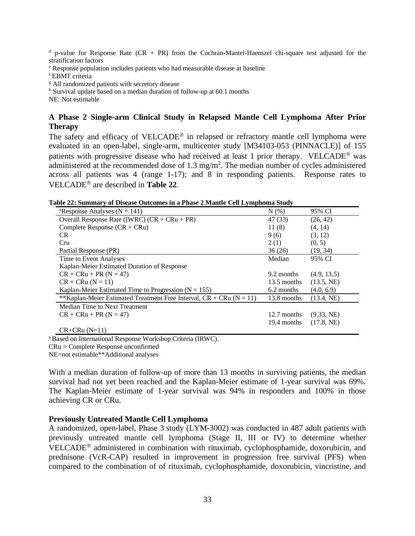$d$  p-value for Response Rate (CR + PR) from the Cochran-Mantel-Haenszel chi-square test adjusted for the stratification factors

<sup>e</sup> Response population includes patients who had measurable disease at baseline

<sup>f</sup> EBMT criteria

<sup>g</sup> All randomized patients with secretory disease

<sup>h</sup> Survival update based on a median duration of follow-up at 60.1 months

NE: Not estimable

## **A Phase 2 Single-arm Clinical Study in Relapsed Mantle Cell Lymphoma After Prior Therapy**

The safety and efficacy of  $VELCADE^{\circledR}$  in relapsed or refractory mantle cell lymphoma were evaluated in an open-label, single-arm, multicenter study [M34103-053 (PINNACLE)] of 155 patients with progressive disease who had received at least 1 prior therapy. VELCADE<sup>®</sup> was administered at the recommended dose of  $1.3 \text{ mg/m}^2$ . The median number of cycles administered across all patients was 4 (range 1-17); and 8 in responding patients. Response rates to VELCADE<sup>®</sup> are described in **Table 22.** 

| abic 22. Sunniai y of Discase Outcomes in a 1 nasc 2 manue Cen Lymphonia Study |             |             |  |  |  |  |
|--------------------------------------------------------------------------------|-------------|-------------|--|--|--|--|
| <sup>a</sup> Response Analyses ( $N = 141$ )                                   | N(% )       | 95% CI      |  |  |  |  |
| Overall Response Rate (IWRC) $(CR + CRu + PR)$                                 | 47 (33)     | (26, 42)    |  |  |  |  |
| Complete Response $(CR + CRu)$                                                 | 11(8)       | (4, 14)     |  |  |  |  |
| <b>CR</b>                                                                      | 9(6)        | (3, 12)     |  |  |  |  |
| Cru                                                                            | 2(1)        | (0, 5)      |  |  |  |  |
| Partial Response (PR)                                                          | 36(26)      | (19, 34)    |  |  |  |  |
| Time to Event Analyses                                                         | Median      | 95% CI      |  |  |  |  |
| Kaplan-Meier Estimated Duration of Response                                    |             |             |  |  |  |  |
| $CR + CRu + PR (N = 47)$                                                       | 9.2 months  | (4.9, 13.5) |  |  |  |  |
| $CR + CRu (N = 11)$                                                            | 13.5 months | (13.5, NE)  |  |  |  |  |
| Kaplan-Meier Estimated Time to Progression ( $N = 155$ )                       | 6.2 months  | (4.0, 6.9)  |  |  |  |  |
| **Kaplan-Meier Estimated Treatment Free Interval, $CR + CRu$ (N = 11)          | 13.8 months | (13.4, NE)  |  |  |  |  |
| Median Time to Next Treatment                                                  |             |             |  |  |  |  |
| $CR + CRu + PR (N = 47)$                                                       | 12.7 months | (9.33, NE)  |  |  |  |  |
|                                                                                | 19.4 months | (17.8, NE)  |  |  |  |  |
| $CR + CRu (N=11)$                                                              |             |             |  |  |  |  |

|  |  |  | Table 22: Summary of Disease Outcomes in a Phase 2 Mantle Cell Lymphoma Study |
|--|--|--|-------------------------------------------------------------------------------|
|  |  |  |                                                                               |

<sup>a</sup> Based on International Response Workshop Criteria (IRWC).

CRu = Complete Response unconfirmed

NE=not estimable\*\*Additional analyses

With a median duration of follow-up of more than 13 months in surviving patients, the median survival had not yet been reached and the Kaplan-Meier estimate of 1-year survival was 69%. The Kaplan-Meier estimate of 1-year survival was 94% in responders and 100% in those achieving CR or CRu.

### **Previously Untreated Mantle Cell Lymphoma**

A randomized, open-label, Phase 3 study (LYM-3002) was conducted in 487 adult patients with previously untreated mantle cell lymphoma (Stage II, III or IV) to determine whether VELCADE<sup>®</sup> administered in combination with rituximab, cyclophosphamide, doxorubicin, and prednisone (VcR-CAP) resulted in improvement in progression free survival (PFS) when compared to the combination of of rituximab, cyclophosphamide, doxorubicin, vincristine, and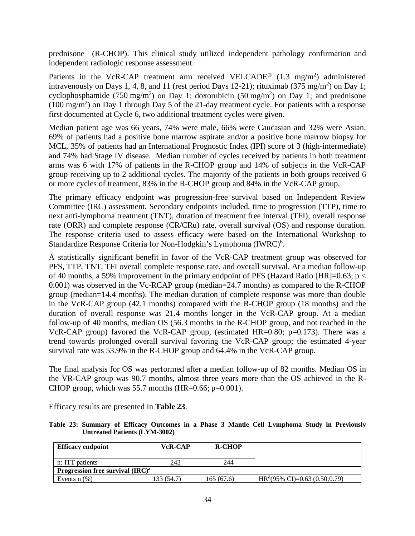prednisone (R-CHOP). This clinical study utilized independent pathology confirmation and independent radiologic response assessment.

Patients in the VcR-CAP treatment arm received VELCADE<sup>®</sup> (1.3 mg/m<sup>2</sup>) administered intravenously on Days 1, 4, 8, and 11 (rest period Days 12-21); rituximab (375 mg/m<sup>2</sup>) on Day 1; cyclophosphamide (750 mg/m<sup>2</sup>) on Day 1; doxorubicin (50 mg/m<sup>2</sup>) on Day 1; and prednisone  $(100 \text{ mg/m}^2)$  on Day 1 through Day 5 of the 21-day treatment cycle. For patients with a response first documented at Cycle 6, two additional treatment cycles were given.

Median patient age was 66 years, 74% were male, 66% were Caucasian and 32% were Asian. 69% of patients had a positive bone marrow aspirate and/or a positive bone marrow biopsy for MCL, 35% of patients had an International Prognostic Index (IPI) score of 3 (high-intermediate) and 74% had Stage IV disease. Median number of cycles received by patients in both treatment arms was 6 with 17% of patients in the R-CHOP group and 14% of subjects in the VcR-CAP group receiving up to 2 additional cycles. The majority of the patients in both groups received 6 or more cycles of treatment, 83% in the R-CHOP group and 84% in the VcR-CAP group.

The primary efficacy endpoint was progression-free survival based on Independent Review Committee (IRC) assessment. Secondary endpoints included, time to progression (TTP), time to next anti-lymphoma treatment (TNT), duration of treatment free interval (TFI), overall response rate (ORR) and complete response (CR/CRu) rate, overall survival (OS) and response duration. The response criteria used to assess efficacy were based on the International Workshop to Standardize Response Criteria for Non-Hodgkin's Lymphoma (IWRC)<sup>6</sup>.

A statistically significant benefit in favor of the VcR-CAP treatment group was observed for PFS, TTP, TNT, TFI overall complete response rate, and overall survival. At a median follow-up of 40 months, a 59% improvement in the primary endpoint of PFS (Hazard Ratio [HR]=0.63; p < 0.001) was observed in the Vc-RCAP group (median=24.7 months) as compared to the R-CHOP group (median=14.4 months). The median duration of complete response was more than double in the VcR-CAP group (42.1 months) compared with the R-CHOP group (18 months) and the duration of overall response was 21.4 months longer in the VcR-CAP group. At a median follow-up of 40 months, median OS (56.3 months in the R-CHOP group, and not reached in the VcR-CAP group) favored the VcR-CAP group, (estimated HR=0.80; p=0.173). There was a trend towards prolonged overall survival favoring the VcR-CAP group; the estimated 4-year survival rate was 53.9% in the R-CHOP group and 64.4% in the VcR-CAP group.

The final analysis for OS was performed after a median follow-up of 82 months. Median OS in the VR-CAP group was 90.7 months, almost three years more than the OS achieved in the R-CHOP group, which was  $55.7$  months (HR=0.66; p=0.001).

Efficacy results are presented in **Table 23**.

|  |                                      |  |  |  |  | Table 23: Summary of Efficacy Outcomes in a Phase 3 Mantle Cell Lymphoma Study in Previously |  |  |
|--|--------------------------------------|--|--|--|--|----------------------------------------------------------------------------------------------|--|--|
|  | <b>Untreated Patients (LYM-3002)</b> |  |  |  |  |                                                                                              |  |  |

| <b>Efficacy endpoint</b>            | <b>VcR-CAP</b> | <b>R-CHOP</b> |                                           |
|-------------------------------------|----------------|---------------|-------------------------------------------|
| n: ITT patients                     | 243            | 244           |                                           |
| Progression free survival $(IRC)^a$ |                |               |                                           |
| Events $n$ $(\%)$                   | 133 (54.7)     | 165(67.6)     | $HR^{d}(95\% \text{ CI})=0.63(0.50;0.79)$ |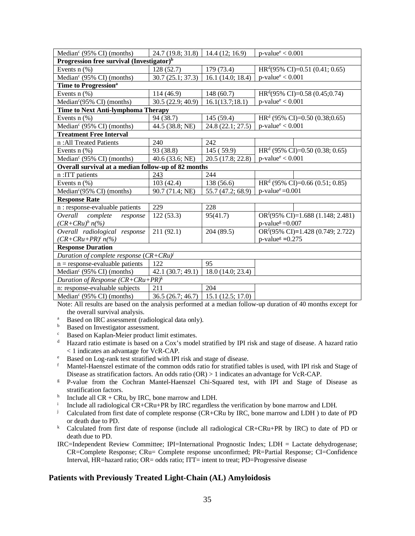| Median <sup>c</sup> (95% CI) (months)                 | 24.7(19.8; 31.8)  | 14.4(12; 16.9)    | $p$ -value <sup>e</sup> < 0.001    |  |  |  |  |
|-------------------------------------------------------|-------------------|-------------------|------------------------------------|--|--|--|--|
| Progression free survival (Investigator) <sup>b</sup> |                   |                   |                                    |  |  |  |  |
| Events $n$ $%$ )                                      | 128 (52.7)        | 179 (73.4)        | $HRd(95\% CI)=0.51(0.41; 0.65)$    |  |  |  |  |
| Median <sup>c</sup> (95% CI) (months)                 | 30.7(25.1; 37.3)  | 16.1(14.0; 18.4)  | $p$ -value <sup>e</sup> < 0.001    |  |  |  |  |
| Time to Progression <sup>a</sup>                      |                   |                   |                                    |  |  |  |  |
| Events $n$ (%)                                        | 114(46.9)         | 148(60.7)         | $HRd(95\% CI)=0.58(0.45;0.74)$     |  |  |  |  |
| Median <sup>c</sup> (95% CI) (months)                 | 30.5 (22.9; 40.9) | 16.1(13.7;18.1)   | $p$ -value <sup>e</sup> < 0.001    |  |  |  |  |
| Time to Next Anti-lymphoma Therapy                    |                   |                   |                                    |  |  |  |  |
| Events $n$ (%)                                        | 94 (38.7)         | 145 (59.4)        | $HRd$ (95% CI)=0.50 (0.38;0.65)    |  |  |  |  |
| Median <sup>c</sup> (95% CI) (months)                 | 44.5 (38.8; NE)   | 24.8 (22.1; 27.5) | $p$ -value <sup>e</sup> < 0.001    |  |  |  |  |
| <b>Treatment Free Interval</b>                        |                   |                   |                                    |  |  |  |  |
| n: All Treated Patients                               | 240               | 242               |                                    |  |  |  |  |
| Events $n$ (%)                                        | 93 (38.8)         | 145 (59.9)        | $HRd$ (95% CI)=0.50 (0.38; 0.65)   |  |  |  |  |
| Median <sup>c</sup> (95% CI) (months)                 | 40.6 (33.6; NE)   | 20.5 (17.8; 22.8) | $p$ -value <sup>e</sup> < 0.001    |  |  |  |  |
| Overall survival at a median follow-up of 82 months   |                   |                   |                                    |  |  |  |  |
| n : ITT patients                                      | 243               | 244               |                                    |  |  |  |  |
| Events $n$ $%$                                        | 103(42.4)         | 138 (56.6)        | $HRd$ (95% CI)=0.66 (0.51; 0.85)   |  |  |  |  |
| Median $c(95\% \text{ CI})$ (months)                  | 90.7 (71.4; NE)   | 55.7 (47.2; 68.9) | $p$ -value <sup>e</sup> =0.001     |  |  |  |  |
| <b>Response Rate</b>                                  |                   |                   |                                    |  |  |  |  |
| n : response-evaluable patients                       | 229               | 228               |                                    |  |  |  |  |
| Overall complete<br>response                          | 122(53.3)         | 95(41.7)          | $ORf(95\% CI)=1.688(1.148; 2.481)$ |  |  |  |  |
| $(CR+CRu)^h n\llap/(\%)$                              |                   |                   | $p$ -value <sup>g</sup> = 0.007    |  |  |  |  |
| Overall radiological response                         | 211(92.1)         | 204(89.5)         | $ORf(95\% CI)=1.428(0.749; 2.722)$ |  |  |  |  |
| $(CR+CRu+PR)^{i} n(\%)$                               |                   |                   | $p$ -value <sup>g</sup> = 0.275    |  |  |  |  |
| <b>Response Duration</b>                              |                   |                   |                                    |  |  |  |  |
| Duration of complete response $(CR + CRu)^{j}$        |                   |                   |                                    |  |  |  |  |
| $n =$ response-evaluable patients                     | 122               | 95                |                                    |  |  |  |  |
| Median <sup>c</sup> (95% CI) (months)                 | 42.1(30.7; 49.1)  | 18.0 (14.0; 23.4) |                                    |  |  |  |  |
| Duration of Response $(CR + CRu + PR)^k$              |                   |                   |                                    |  |  |  |  |
| n: response-evaluable subjects                        | 211               | 204               |                                    |  |  |  |  |
| Median <sup>c</sup> (95% CI) (months)                 | 36.5(26.7; 46.7)  | 15.1(12.5; 17.0)  |                                    |  |  |  |  |

Note: All results are based on the analysis performed at a median follow-up duration of 40 months except for

- the overall survival analysis.<br>
<sup>a</sup> Based on IRC assessment (radiological data only).<br>
<sup>b</sup> Based on Investigator assessment
- Based on Investigator assessment.
- Based on Kaplan-Meier product limit estimates.
- <sup>d</sup> Hazard ratio estimate is based on a Cox's model stratified by IPI risk and stage of disease. A hazard ratio < 1 indicates an advantage for VcR-CAP.
- <sup>e</sup> Based on Log-rank test stratified with IPI risk and stage of disease.<br> **Example 1.1** Mantel-Haenszel estimate of the common odds ratio for stratified to
- <sup>f</sup> Mantel-Haenszel estimate of the common odds ratio for stratified tables is used, with IPI risk and Stage of Disease as stratification factors. An odds ratio  $(OR) > 1$  indicates an advantage for VcR-CAP.
- <sup>g</sup> P-value from the Cochran Mantel-Haenszel Chi-Squared test, with IPI and Stage of Disease as stratification factors.
- h Include all  $CR + CRu$ , by IRC, bone marrow and LDH.<br>i Include all radiological  $CP + CPu + PP$  by IPC regardless
- <sup>i</sup> Include all radiological CR+CRu+PR by IRC regardless the verification by bone marrow and LDH.<br>Calculated from first date of complete response (CR+CRu by IRC, bone marrow and LDH) to date
- Calculated from first date of complete response (CR+CRu by IRC, bone marrow and LDH) to date of PD or death due to PD.
- <sup>k</sup> Calculated from first date of response (include all radiological CR+CRu+PR by IRC) to date of PD or death due to PD.

#### IRC=Independent Review Committee; IPI=International Prognostic Index; LDH = Lactate dehydrogenase; CR=Complete Response; CRu= Complete response unconfirmed; PR=Partial Response; CI=Confidence Interval, HR=hazard ratio; OR= odds ratio; ITT= intent to treat; PD=Progressive disease

#### **Patients with Previously Treated Light-Chain (AL) Amyloidosis**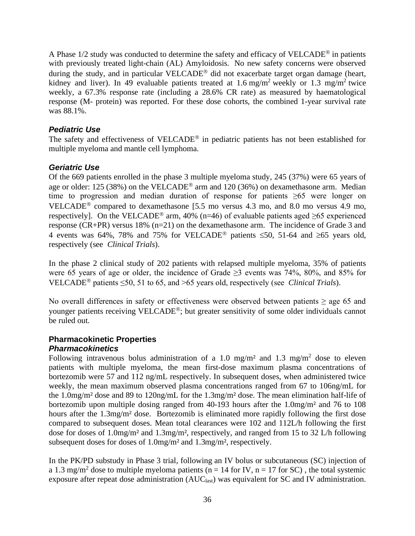A Phase  $1/2$  study was conducted to determine the safety and efficacy of VELCADE<sup>®</sup> in patients with previously treated light-chain (AL) Amyloidosis. No new safety concerns were observed during the study, and in particular  $VELCADE^{\circledR}$  did not exacerbate target organ damage (heart, kidney and liver). In 49 evaluable patients treated at 1.6 mg/m<sup>2</sup> weekly or 1.3 mg/m<sup>2</sup> twice weekly, a 67.3% response rate (including a 28.6% CR rate) as measured by haematological response (M- protein) was reported. For these dose cohorts, the combined 1-year survival rate was 88.1%.

## *Pediatric Use*

The safety and effectiveness of VELCADE<sup>®</sup> in pediatric patients has not been established for multiple myeloma and mantle cell lymphoma.

## *Geriatric Use*

Of the 669 patients enrolled in the phase 3 multiple myeloma study, 245 (37%) were 65 years of age or older: 125 (38%) on the VELCADE<sup>®</sup> arm and 120 (36%) on dexamethasone arm. Median time to progression and median duration of response for patients ≥65 were longer on VELCADE<sup>®</sup> compared to dexamethasone [5.5 mo versus 4.3 mo, and 8.0 mo versus 4.9 mo, respectively]. On the VELCADE<sup>®</sup> arm, 40% (n=46) of evaluable patients aged  $\geq 65$  experienced response (CR+PR) versus 18% (n=21) on the dexamethasone arm. The incidence of Grade 3 and 4 events was 64%, 78% and 75% for VELCADE<sup>®</sup> patients ≤50, 51-64 and ≥65 years old, respectively (see *Clinical Trials*).

In the phase 2 clinical study of 202 patients with relapsed multiple myeloma, 35% of patients were 65 years of age or older, the incidence of Grade ≥3 events was 74%, 80%, and 85% for VELCADE<sup>®</sup> patients  $\leq$ 50, 51 to 65, and >65 years old, respectively (see *Clinical Trials*).

No overall differences in safety or effectiveness were observed between patients ≥ age 65 and younger patients receiving VELCADE®; but greater sensitivity of some older individuals cannot be ruled out.

# **Pharmacokinetic Properties**

## *Pharmacokinetics*

Following intravenous bolus administration of a 1.0 mg/m<sup>2</sup> and 1.3 mg/m<sup>2</sup> dose to eleven patients with multiple myeloma, the mean first-dose maximum plasma concentrations of bortezomib were 57 and 112 ng/mL respectively. In subsequent doses, when administered twice weekly, the mean maximum observed plasma concentrations ranged from 67 to 106ng/mL for the 1.0mg/m² dose and 89 to 120ng/mL for the 1.3mg/m² dose. The mean elimination half-life of bortezomib upon multiple dosing ranged from 40-193 hours after the 1.0mg/m² and 76 to 108 hours after the 1.3mg/m<sup>2</sup> dose. Bortezomib is eliminated more rapidly following the first dose compared to subsequent doses. Mean total clearances were 102 and 112L/h following the first dose for doses of 1.0mg/m<sup>2</sup> and 1.3mg/m<sup>2</sup>, respectively, and ranged from 15 to 32 L/h following subsequent doses for doses of 1.0mg/m² and 1.3mg/m², respectively.

In the PK/PD substudy in Phase 3 trial, following an IV bolus or subcutaneous (SC) injection of a 1.3 mg/m<sup>2</sup> dose to multiple myeloma patients ( $n = 14$  for IV,  $n = 17$  for SC), the total systemic exposure after repeat dose administration (AUC<sub>last</sub>) was equivalent for SC and IV administration.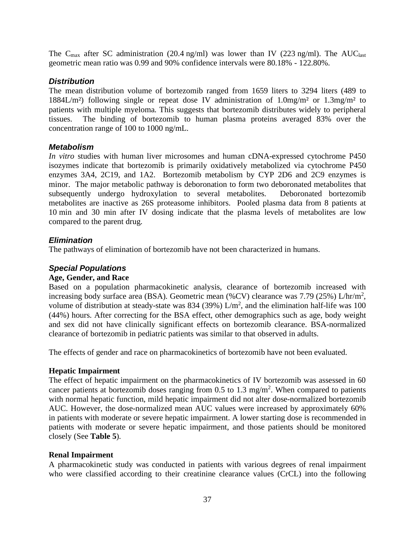The C<sub>max</sub> after SC administration (20.4 ng/ml) was lower than IV (223 ng/ml). The AUC<sub>last</sub> geometric mean ratio was 0.99 and 90% confidence intervals were 80.18% - 122.80%.

## *Distribution*

The mean distribution volume of bortezomib ranged from 1659 liters to 3294 liters (489 to 1884L/m²) following single or repeat dose IV administration of 1.0mg/m² or 1.3mg/m² to patients with multiple myeloma. This suggests that bortezomib distributes widely to peripheral tissues. The binding of bortezomib to human plasma proteins averaged 83% over the concentration range of 100 to 1000 ng/mL.

## *Metabolism*

*In vitro* studies with human liver microsomes and human cDNA-expressed cytochrome P450 isozymes indicate that bortezomib is primarily oxidatively metabolized via cytochrome P450 enzymes 3A4, 2C19, and 1A2. Bortezomib metabolism by CYP 2D6 and 2C9 enzymes is minor. The major metabolic pathway is deboronation to form two deboronated metabolites that subsequently undergo hydroxylation to several metabolites. Deboronated bortezomib metabolites are inactive as 26S proteasome inhibitors. Pooled plasma data from 8 patients at 10 min and 30 min after IV dosing indicate that the plasma levels of metabolites are low compared to the parent drug.

## *Elimination*

The pathways of elimination of bortezomib have not been characterized in humans.

## *Special Populations*

### **Age, Gender, and Race**

Based on a population pharmacokinetic analysis, clearance of bortezomib increased with increasing body surface area (BSA). Geometric mean (%CV) clearance was 7.79 (25%) L/hr/m<sup>2</sup>, volume of distribution at steady-state was 834 (39%)  $L/m^2$ , and the elimination half-life was 100 (44%) hours. After correcting for the BSA effect, other demographics such as age, body weight and sex did not have clinically significant effects on bortezomib clearance. BSA-normalized clearance of bortezomib in pediatric patients was similar to that observed in adults.

The effects of gender and race on pharmacokinetics of bortezomib have not been evaluated.

### **Hepatic Impairment**

The effect of hepatic impairment on the pharmacokinetics of IV bortezomib was assessed in 60 cancer patients at bortezomib doses ranging from  $0.5$  to  $1.3 \text{ mg/m}^2$ . When compared to patients with normal hepatic function, mild hepatic impairment did not alter dose-normalized bortezomib AUC. However, the dose-normalized mean AUC values were increased by approximately 60% in patients with moderate or severe hepatic impairment. A lower starting dose is recommended in patients with moderate or severe hepatic impairment, and those patients should be monitored closely (See **Table 5**).

### **Renal Impairment**

A pharmacokinetic study was conducted in patients with various degrees of renal impairment who were classified according to their creatinine clearance values (CrCL) into the following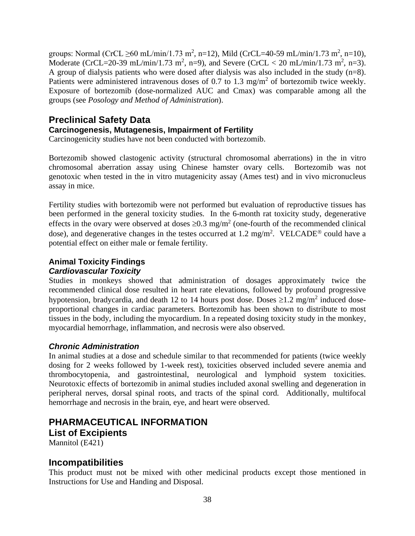groups: Normal (CrCL  $\geq 60$  mL/min/1.73 m<sup>2</sup>, n=12), Mild (CrCL=40-59 mL/min/1.73 m<sup>2</sup>, n=10), Moderate (CrCL=20-39 mL/min/1.73 m<sup>2</sup>, n=9), and Severe (CrCL < 20 mL/min/1.73 m<sup>2</sup>, n=3). A group of dialysis patients who were dosed after dialysis was also included in the study (n=8). Patients were administered intravenous doses of 0.7 to 1.3 mg/m<sup>2</sup> of bortezomib twice weekly. Exposure of bortezomib (dose-normalized AUC and Cmax) was comparable among all the groups (see *Posology and Method of Administration*).

## **Preclinical Safety Data**

## **Carcinogenesis, Mutagenesis, Impairment of Fertility**

Carcinogenicity studies have not been conducted with bortezomib.

Bortezomib showed clastogenic activity (structural chromosomal aberrations) in the in vitro chromosomal aberration assay using Chinese hamster ovary cells. Bortezomib was not genotoxic when tested in the in vitro mutagenicity assay (Ames test) and in vivo micronucleus assay in mice.

Fertility studies with bortezomib were not performed but evaluation of reproductive tissues has been performed in the general toxicity studies. In the 6-month rat toxicity study, degenerative effects in the ovary were observed at doses  $\geq 0.3$  mg/m<sup>2</sup> (one-fourth of the recommended clinical dose), and degenerative changes in the testes occurred at 1.2 mg/m<sup>2</sup>. VELCADE<sup>®</sup> could have a potential effect on either male or female fertility.

## **Animal Toxicity Findings**

## *Cardiovascular Toxicity*

Studies in monkeys showed that administration of dosages approximately twice the recommended clinical dose resulted in heart rate elevations, followed by profound progressive hypotension, bradycardia, and death 12 to 14 hours post dose. Doses  $\geq$ 1.2 mg/m<sup>2</sup> induced doseproportional changes in cardiac parameters. Bortezomib has been shown to distribute to most tissues in the body, including the myocardium. In a repeated dosing toxicity study in the monkey, myocardial hemorrhage, inflammation, and necrosis were also observed.

## *Chronic Administration*

In animal studies at a dose and schedule similar to that recommended for patients (twice weekly dosing for 2 weeks followed by 1-week rest), toxicities observed included severe anemia and thrombocytopenia, and gastrointestinal, neurological and lymphoid system toxicities. Neurotoxic effects of bortezomib in animal studies included axonal swelling and degeneration in peripheral nerves, dorsal spinal roots, and tracts of the spinal cord. Additionally, multifocal hemorrhage and necrosis in the brain, eye, and heart were observed.

# **PHARMACEUTICAL INFORMATION List of Excipients**

Mannitol (E421)

## **Incompatibilities**

This product must not be mixed with other medicinal products except those mentioned in Instructions for Use and Handing and Disposal.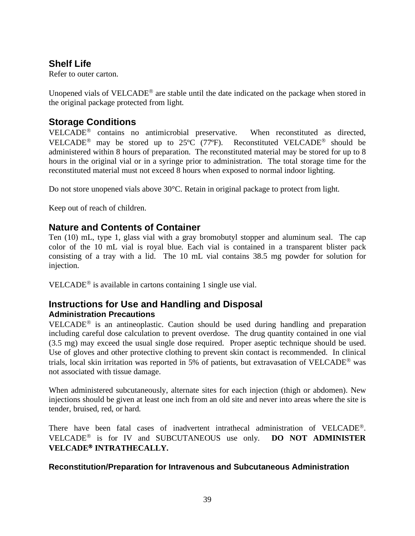# **Shelf Life**

Refer to outer carton.

Unopened vials of VELCADE<sup>®</sup> are stable until the date indicated on the package when stored in the original package protected from light.

# **Storage Conditions**

VELCADE<sup>®</sup> contains no antimicrobial preservative. When reconstituted as directed, VELCADE<sup>®</sup> may be stored up to 25 $^{\circ}$  (77 $^{\circ}$ F). Reconstituted VELCADE<sup>®</sup> should be administered within 8 hours of preparation. The reconstituted material may be stored for up to 8 hours in the original vial or in a syringe prior to administration. The total storage time for the reconstituted material must not exceed 8 hours when exposed to normal indoor lighting.

Do not store unopened vials above 30°C. Retain in original package to protect from light.

Keep out of reach of children.

# **Nature and Contents of Container**

Ten (10) mL, type 1, glass vial with a gray bromobutyl stopper and aluminum seal. The cap color of the 10 mL vial is royal blue. Each vial is contained in a transparent blister pack consisting of a tray with a lid. The 10 mL vial contains 38.5 mg powder for solution for injection.

VELCADE<sup>®</sup> is available in cartons containing 1 single use vial.

# **Instructions for Use and Handling and Disposal Administration Precautions**

 $VELCADE<sup>®</sup>$  is an antineoplastic. Caution should be used during handling and preparation including careful dose calculation to prevent overdose. The drug quantity contained in one vial (3.5 mg) may exceed the usual single dose required. Proper aseptic technique should be used. Use of gloves and other protective clothing to prevent skin contact is recommended. In clinical trials, local skin irritation was reported in 5% of patients, but extravasation of VELCADE<sup>®</sup> was not associated with tissue damage.

When administered subcutaneously, alternate sites for each injection (thigh or abdomen). New injections should be given at least one inch from an old site and never into areas where the site is tender, bruised, red, or hard.

There have been fatal cases of inadvertent intrathecal administration of VELCADE<sup>®</sup>. VELCADE<sup>®</sup> is for IV and SUBCUTANEOUS use only. **DO NOT ADMINISTER VELCADE<sup>®</sup> INTRATHECALLY.** 

## **Reconstitution/Preparation for Intravenous and Subcutaneous Administration**